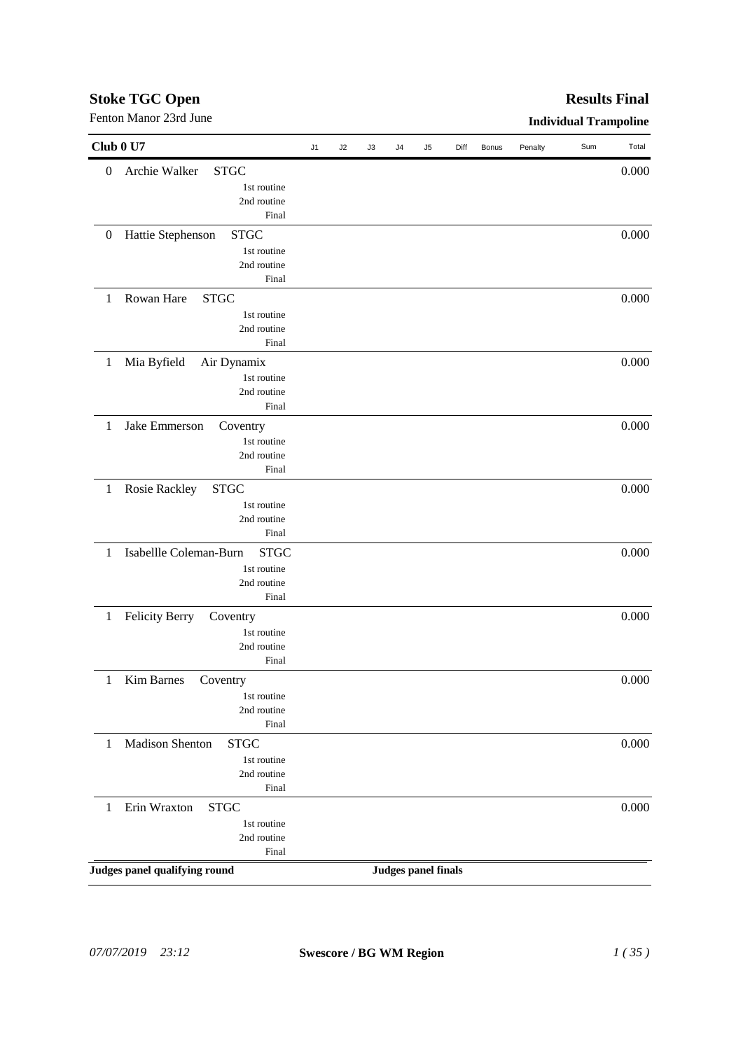## *07/07/2019 23:12* **Swescore / BG WM Region** *1 ( 35 )*

| Fenton Manor 23rd June                               |    |    |    |    |                            |      |       |         | <b>Individual Trampoline</b> |       |
|------------------------------------------------------|----|----|----|----|----------------------------|------|-------|---------|------------------------------|-------|
| Club 0 U7                                            | J1 | J2 | J3 | J4 | J5                         | Diff | Bonus | Penalty | Sum                          | Total |
| Archie Walker<br><b>STGC</b><br>$\boldsymbol{0}$     |    |    |    |    |                            |      |       |         |                              | 0.000 |
| 1st routine                                          |    |    |    |    |                            |      |       |         |                              |       |
| 2nd routine                                          |    |    |    |    |                            |      |       |         |                              |       |
| Final                                                |    |    |    |    |                            |      |       |         |                              |       |
| <b>STGC</b><br>Hattie Stephenson<br>$\boldsymbol{0}$ |    |    |    |    |                            |      |       |         |                              | 0.000 |
| 1st routine                                          |    |    |    |    |                            |      |       |         |                              |       |
| 2nd routine                                          |    |    |    |    |                            |      |       |         |                              |       |
| Final                                                |    |    |    |    |                            |      |       |         |                              |       |
| Rowan Hare<br><b>STGC</b><br>1                       |    |    |    |    |                            |      |       |         |                              | 0.000 |
| 1st routine                                          |    |    |    |    |                            |      |       |         |                              |       |
| 2nd routine                                          |    |    |    |    |                            |      |       |         |                              |       |
| Final                                                |    |    |    |    |                            |      |       |         |                              |       |
|                                                      |    |    |    |    |                            |      |       |         |                              | 0.000 |
| Mia Byfield<br>Air Dynamix<br>1                      |    |    |    |    |                            |      |       |         |                              |       |
| 1st routine                                          |    |    |    |    |                            |      |       |         |                              |       |
| 2nd routine<br>Final                                 |    |    |    |    |                            |      |       |         |                              |       |
|                                                      |    |    |    |    |                            |      |       |         |                              |       |
| Jake Emmerson<br>1<br>Coventry                       |    |    |    |    |                            |      |       |         |                              | 0.000 |
| 1st routine                                          |    |    |    |    |                            |      |       |         |                              |       |
| 2nd routine                                          |    |    |    |    |                            |      |       |         |                              |       |
| Final                                                |    |    |    |    |                            |      |       |         |                              |       |
| Rosie Rackley<br><b>STGC</b><br>$\mathbf{1}$         |    |    |    |    |                            |      |       |         |                              | 0.000 |
| 1st routine                                          |    |    |    |    |                            |      |       |         |                              |       |
| 2nd routine                                          |    |    |    |    |                            |      |       |         |                              |       |
| Final                                                |    |    |    |    |                            |      |       |         |                              |       |
| Isabellle Coleman-Burn<br><b>STGC</b><br>1           |    |    |    |    |                            |      |       |         |                              | 0.000 |
| 1st routine                                          |    |    |    |    |                            |      |       |         |                              |       |
| 2nd routine                                          |    |    |    |    |                            |      |       |         |                              |       |
| Final                                                |    |    |    |    |                            |      |       |         |                              |       |
| <b>Felicity Berry</b><br>1<br>Coventry               |    |    |    |    |                            |      |       |         |                              | 0.000 |
| 1st routine                                          |    |    |    |    |                            |      |       |         |                              |       |
| 2nd routine                                          |    |    |    |    |                            |      |       |         |                              |       |
| Final                                                |    |    |    |    |                            |      |       |         |                              |       |
| <b>Kim Barnes</b><br>Coventry<br>1                   |    |    |    |    |                            |      |       |         |                              | 0.000 |
| 1st routine                                          |    |    |    |    |                            |      |       |         |                              |       |
| 2nd routine                                          |    |    |    |    |                            |      |       |         |                              |       |
| Final                                                |    |    |    |    |                            |      |       |         |                              |       |
|                                                      |    |    |    |    |                            |      |       |         |                              |       |
| Madison Shenton<br><b>STGC</b><br>1                  |    |    |    |    |                            |      |       |         |                              | 0.000 |
| 1st routine                                          |    |    |    |    |                            |      |       |         |                              |       |
| 2nd routine                                          |    |    |    |    |                            |      |       |         |                              |       |
| Final                                                |    |    |    |    |                            |      |       |         |                              |       |
| Erin Wraxton<br><b>STGC</b><br>1                     |    |    |    |    |                            |      |       |         |                              | 0.000 |
| 1st routine                                          |    |    |    |    |                            |      |       |         |                              |       |
| 2nd routine                                          |    |    |    |    |                            |      |       |         |                              |       |
| Final                                                |    |    |    |    |                            |      |       |         |                              |       |
| Judges panel qualifying round                        |    |    |    |    | <b>Judges panel finals</b> |      |       |         |                              |       |
|                                                      |    |    |    |    |                            |      |       |         |                              |       |

## **Stoke TGC Open**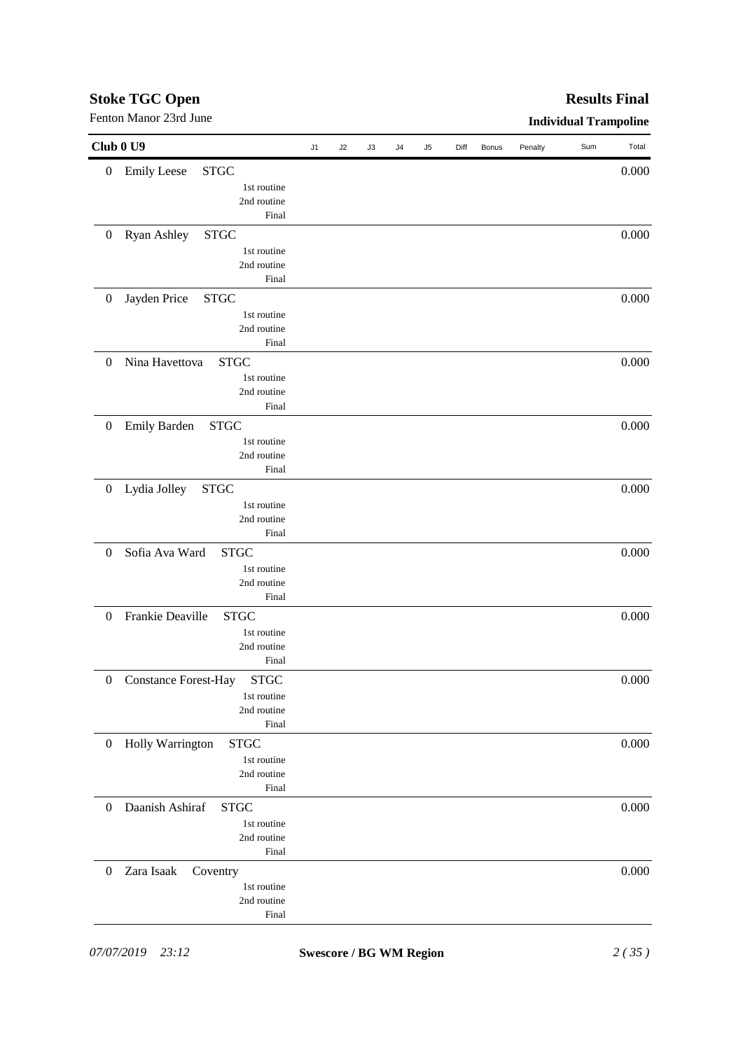|                  | Fenton Manor 23rd June                     |    |    |    |    |    |      |       |         | <b>Individual Trampoline</b> |       |
|------------------|--------------------------------------------|----|----|----|----|----|------|-------|---------|------------------------------|-------|
|                  | Club 0 U9                                  | J1 | J2 | J3 | J4 | J5 | Diff | Bonus | Penalty | Sum                          | Total |
| $\boldsymbol{0}$ | <b>Emily Leese</b><br><b>STGC</b>          |    |    |    |    |    |      |       |         |                              | 0.000 |
|                  | 1st routine                                |    |    |    |    |    |      |       |         |                              |       |
|                  | 2nd routine                                |    |    |    |    |    |      |       |         |                              |       |
|                  | Final                                      |    |    |    |    |    |      |       |         |                              |       |
| $\boldsymbol{0}$ | Ryan Ashley<br><b>STGC</b>                 |    |    |    |    |    |      |       |         |                              | 0.000 |
|                  | 1st routine                                |    |    |    |    |    |      |       |         |                              |       |
|                  | 2nd routine                                |    |    |    |    |    |      |       |         |                              |       |
|                  | Final                                      |    |    |    |    |    |      |       |         |                              |       |
| $\boldsymbol{0}$ | Jayden Price<br><b>STGC</b>                |    |    |    |    |    |      |       |         |                              | 0.000 |
|                  | 1st routine                                |    |    |    |    |    |      |       |         |                              |       |
|                  | 2nd routine                                |    |    |    |    |    |      |       |         |                              |       |
|                  | Final                                      |    |    |    |    |    |      |       |         |                              |       |
| $\mathbf{0}$     | Nina Havettova<br><b>STGC</b>              |    |    |    |    |    |      |       |         |                              | 0.000 |
|                  | 1st routine                                |    |    |    |    |    |      |       |         |                              |       |
|                  | 2nd routine                                |    |    |    |    |    |      |       |         |                              |       |
|                  | Final                                      |    |    |    |    |    |      |       |         |                              |       |
| $\boldsymbol{0}$ | <b>Emily Barden</b><br><b>STGC</b>         |    |    |    |    |    |      |       |         |                              | 0.000 |
|                  | 1st routine                                |    |    |    |    |    |      |       |         |                              |       |
|                  | 2nd routine                                |    |    |    |    |    |      |       |         |                              |       |
|                  | Final                                      |    |    |    |    |    |      |       |         |                              |       |
| $\boldsymbol{0}$ | Lydia Jolley<br><b>STGC</b>                |    |    |    |    |    |      |       |         |                              | 0.000 |
|                  | 1st routine                                |    |    |    |    |    |      |       |         |                              |       |
|                  | 2nd routine                                |    |    |    |    |    |      |       |         |                              |       |
|                  | Final                                      |    |    |    |    |    |      |       |         |                              |       |
| $\boldsymbol{0}$ | Sofia Ava Ward<br><b>STGC</b>              |    |    |    |    |    |      |       |         |                              | 0.000 |
|                  | 1st routine                                |    |    |    |    |    |      |       |         |                              |       |
|                  | 2nd routine                                |    |    |    |    |    |      |       |         |                              |       |
|                  | Final                                      |    |    |    |    |    |      |       |         |                              |       |
| $\theta$         | Frankie Deaville<br><b>STGC</b>            |    |    |    |    |    |      |       |         |                              | 0.000 |
|                  | 1st routine                                |    |    |    |    |    |      |       |         |                              |       |
|                  | 2nd routine                                |    |    |    |    |    |      |       |         |                              |       |
|                  | Final                                      |    |    |    |    |    |      |       |         |                              |       |
| $\boldsymbol{0}$ | <b>Constance Forest-Hay</b><br><b>STGC</b> |    |    |    |    |    |      |       |         |                              | 0.000 |
|                  | 1st routine                                |    |    |    |    |    |      |       |         |                              |       |
|                  | 2nd routine                                |    |    |    |    |    |      |       |         |                              |       |
|                  | Final                                      |    |    |    |    |    |      |       |         |                              |       |
| $\boldsymbol{0}$ | Holly Warrington<br><b>STGC</b>            |    |    |    |    |    |      |       |         |                              | 0.000 |
|                  | 1st routine                                |    |    |    |    |    |      |       |         |                              |       |
|                  | 2nd routine                                |    |    |    |    |    |      |       |         |                              |       |
|                  | Final                                      |    |    |    |    |    |      |       |         |                              |       |
| $\theta$         | Daanish Ashiraf<br><b>STGC</b>             |    |    |    |    |    |      |       |         |                              | 0.000 |
|                  | 1st routine                                |    |    |    |    |    |      |       |         |                              |       |
|                  | 2nd routine                                |    |    |    |    |    |      |       |         |                              |       |
|                  | Final                                      |    |    |    |    |    |      |       |         |                              |       |
| $\boldsymbol{0}$ | Zara Isaak<br>Coventry                     |    |    |    |    |    |      |       |         |                              | 0.000 |
|                  | 1st routine                                |    |    |    |    |    |      |       |         |                              |       |
|                  | 2nd routine                                |    |    |    |    |    |      |       |         |                              |       |
|                  | Final                                      |    |    |    |    |    |      |       |         |                              |       |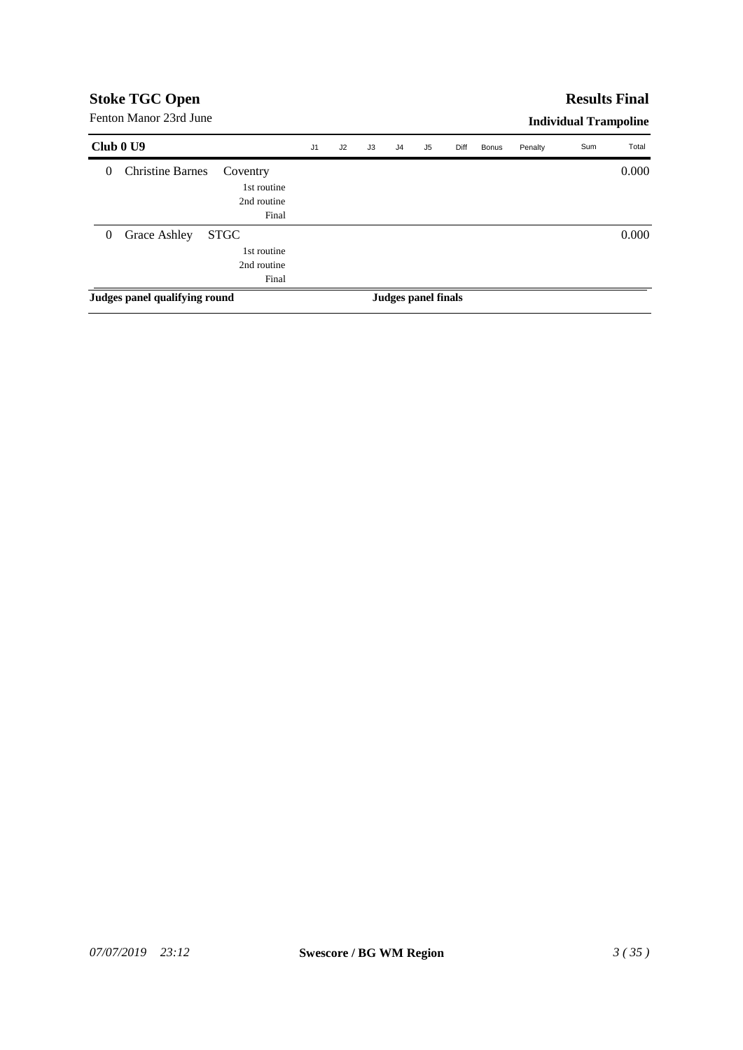## **Results Final**

Fenton Manor 23rd June

| Club 0 U9      |                               |                                                    | J <sub>1</sub> | J2 | J3 | J4 | J5                  | Diff | <b>Bonus</b> | Penalty | Sum | Total |
|----------------|-------------------------------|----------------------------------------------------|----------------|----|----|----|---------------------|------|--------------|---------|-----|-------|
| $\theta$       | <b>Christine Barnes</b>       | Coventry<br>1st routine<br>2nd routine<br>Final    |                |    |    |    |                     |      |              |         |     | 0.000 |
| $\overline{0}$ | Grace Ashley                  | <b>STGC</b><br>1st routine<br>2nd routine<br>Final |                |    |    |    |                     |      |              |         |     | 0.000 |
|                | Judges panel qualifying round |                                                    |                |    |    |    | Judges panel finals |      |              |         |     |       |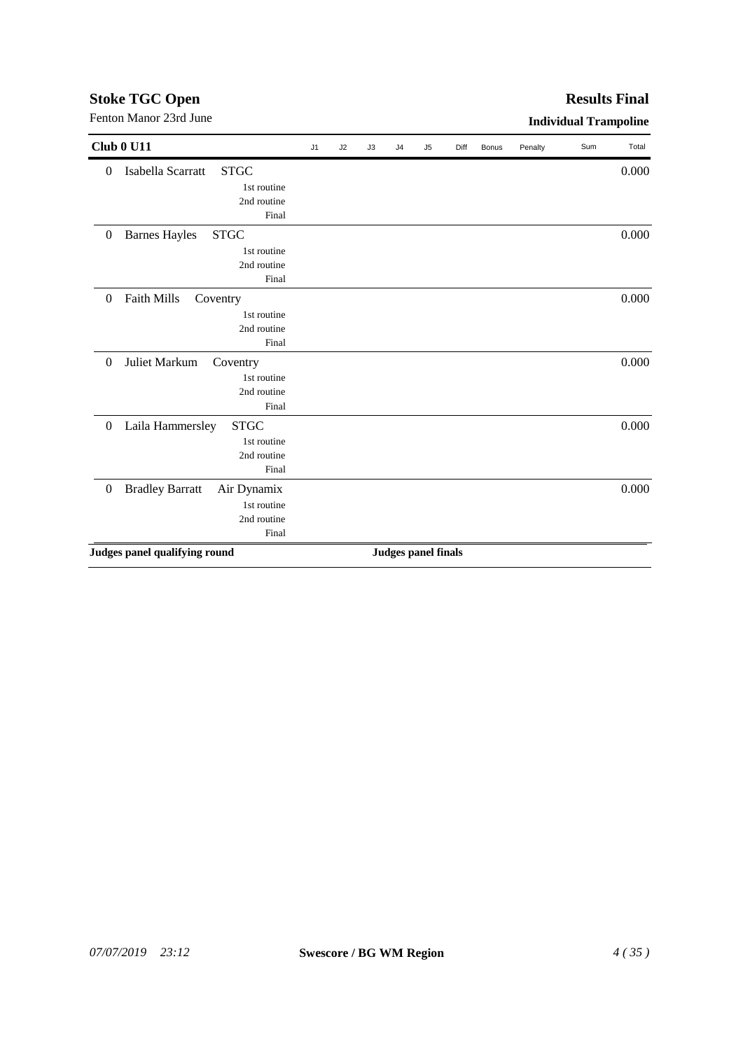## **Stoke TGC Open** Fenton Manor 23rd June **Individual Trampoline**

|                  | Club 0 U11                            | J1 | J2 | J3 | J <sub>4</sub>             | J5 | Diff | Bonus | Penalty | Sum | Total |
|------------------|---------------------------------------|----|----|----|----------------------------|----|------|-------|---------|-----|-------|
| $\boldsymbol{0}$ | <b>STGC</b><br>Isabella Scarratt      |    |    |    |                            |    |      |       |         |     | 0.000 |
|                  | 1st routine                           |    |    |    |                            |    |      |       |         |     |       |
|                  | 2nd routine                           |    |    |    |                            |    |      |       |         |     |       |
|                  | Final                                 |    |    |    |                            |    |      |       |         |     |       |
| $\boldsymbol{0}$ | <b>STGC</b><br><b>Barnes Hayles</b>   |    |    |    |                            |    |      |       |         |     | 0.000 |
|                  | 1st routine                           |    |    |    |                            |    |      |       |         |     |       |
|                  | 2nd routine                           |    |    |    |                            |    |      |       |         |     |       |
|                  | Final                                 |    |    |    |                            |    |      |       |         |     |       |
| $\boldsymbol{0}$ | Faith Mills<br>Coventry               |    |    |    |                            |    |      |       |         |     | 0.000 |
|                  | 1st routine                           |    |    |    |                            |    |      |       |         |     |       |
|                  | 2nd routine                           |    |    |    |                            |    |      |       |         |     |       |
|                  | Final                                 |    |    |    |                            |    |      |       |         |     |       |
| $\boldsymbol{0}$ | Juliet Markum<br>Coventry             |    |    |    |                            |    |      |       |         |     | 0.000 |
|                  | 1st routine                           |    |    |    |                            |    |      |       |         |     |       |
|                  | 2nd routine                           |    |    |    |                            |    |      |       |         |     |       |
|                  | Final                                 |    |    |    |                            |    |      |       |         |     |       |
| $\boldsymbol{0}$ | Laila Hammersley<br><b>STGC</b>       |    |    |    |                            |    |      |       |         |     | 0.000 |
|                  | 1st routine                           |    |    |    |                            |    |      |       |         |     |       |
|                  | 2nd routine                           |    |    |    |                            |    |      |       |         |     |       |
|                  | Final                                 |    |    |    |                            |    |      |       |         |     |       |
| $\boldsymbol{0}$ | <b>Bradley Barratt</b><br>Air Dynamix |    |    |    |                            |    |      |       |         |     | 0.000 |
|                  | 1st routine                           |    |    |    |                            |    |      |       |         |     |       |
|                  | 2nd routine                           |    |    |    |                            |    |      |       |         |     |       |
|                  | Final                                 |    |    |    |                            |    |      |       |         |     |       |
|                  | Judges panel qualifying round         |    |    |    | <b>Judges panel finals</b> |    |      |       |         |     |       |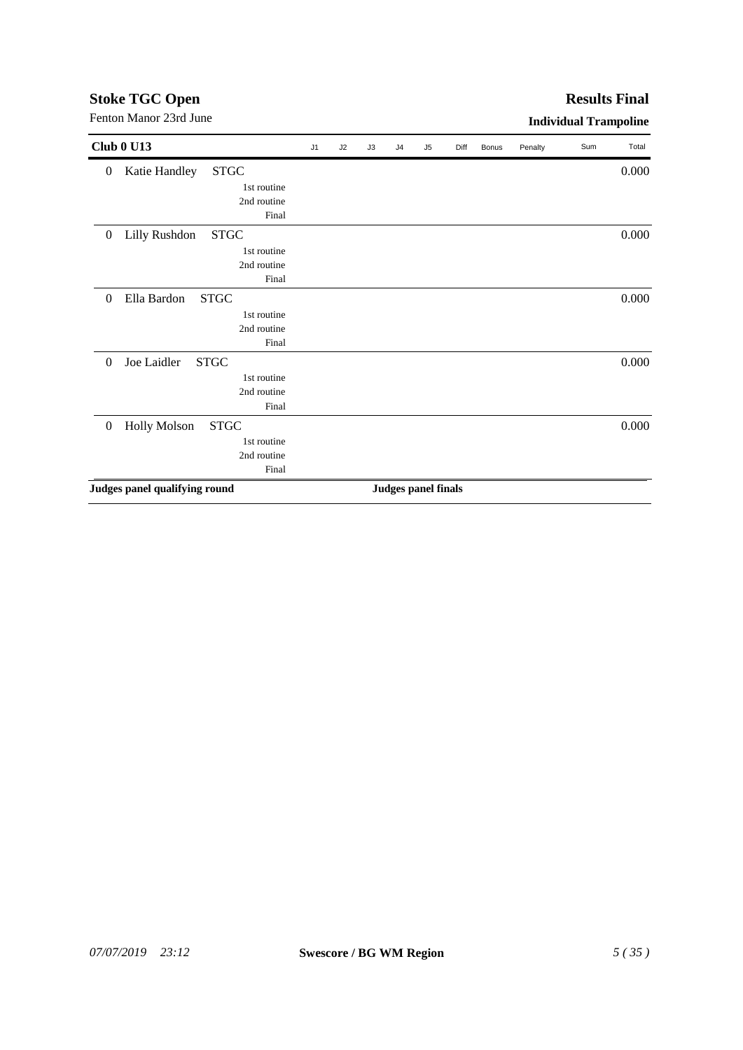## *07/07/2019 23:12* **Swescore / BG WM Region** *5 ( 35 )*

|                  | <b>Club 0 U13</b>                  | J1 | J2 | J3 | J <sub>4</sub> | J <sub>5</sub>             | Diff | <b>Bonus</b> | Penalty | Sum | Total |
|------------------|------------------------------------|----|----|----|----------------|----------------------------|------|--------------|---------|-----|-------|
| $\boldsymbol{0}$ | <b>STGC</b><br>Katie Handley       |    |    |    |                |                            |      |              |         |     | 0.000 |
|                  | 1st routine                        |    |    |    |                |                            |      |              |         |     |       |
|                  | 2nd routine                        |    |    |    |                |                            |      |              |         |     |       |
|                  | Final                              |    |    |    |                |                            |      |              |         |     |       |
| $\boldsymbol{0}$ | Lilly Rushdon<br><b>STGC</b>       |    |    |    |                |                            |      |              |         |     | 0.000 |
|                  | 1st routine                        |    |    |    |                |                            |      |              |         |     |       |
|                  | 2nd routine                        |    |    |    |                |                            |      |              |         |     |       |
|                  | Final                              |    |    |    |                |                            |      |              |         |     |       |
| $\boldsymbol{0}$ | Ella Bardon<br><b>STGC</b>         |    |    |    |                |                            |      |              |         |     | 0.000 |
|                  | 1st routine                        |    |    |    |                |                            |      |              |         |     |       |
|                  | 2nd routine                        |    |    |    |                |                            |      |              |         |     |       |
|                  | Final                              |    |    |    |                |                            |      |              |         |     |       |
| $\theta$         | Joe Laidler<br><b>STGC</b>         |    |    |    |                |                            |      |              |         |     | 0.000 |
|                  | 1st routine                        |    |    |    |                |                            |      |              |         |     |       |
|                  | 2nd routine                        |    |    |    |                |                            |      |              |         |     |       |
|                  | Final                              |    |    |    |                |                            |      |              |         |     |       |
| $\boldsymbol{0}$ | <b>Holly Molson</b><br><b>STGC</b> |    |    |    |                |                            |      |              |         |     | 0.000 |
|                  | 1st routine                        |    |    |    |                |                            |      |              |         |     |       |
|                  | 2nd routine                        |    |    |    |                |                            |      |              |         |     |       |
|                  | Final                              |    |    |    |                |                            |      |              |         |     |       |
|                  | Judges panel qualifying round      |    |    |    |                | <b>Judges panel finals</b> |      |              |         |     |       |

## **Stoke TGC Open**

## Fenton Manor 23rd June **Individual Trampoline Results Final**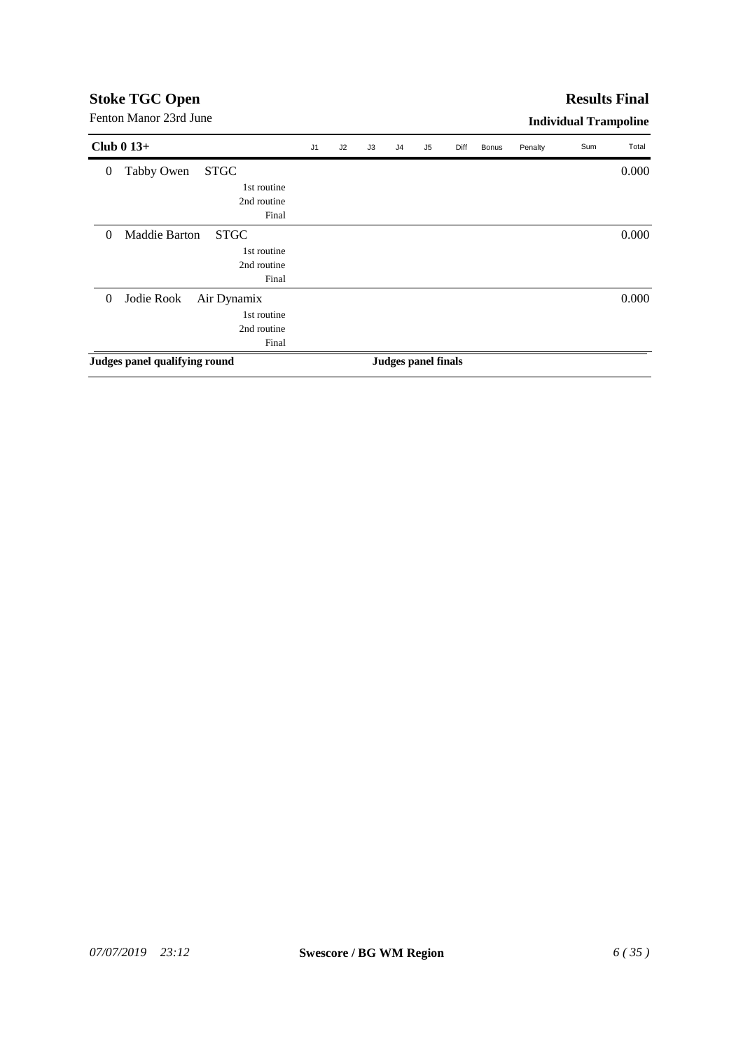#### **Results Final**

| Club $0\,13+$                               | J <sub>1</sub> | J2 | J3 | J <sub>4</sub> | J5                         | Diff | <b>Bonus</b> | Penalty | Sum | Total |
|---------------------------------------------|----------------|----|----|----------------|----------------------------|------|--------------|---------|-----|-------|
| Tabby Owen<br><b>STGC</b><br>$\overline{0}$ |                |    |    |                |                            |      |              |         |     | 0.000 |
| 1st routine                                 |                |    |    |                |                            |      |              |         |     |       |
| 2nd routine                                 |                |    |    |                |                            |      |              |         |     |       |
| Final                                       |                |    |    |                |                            |      |              |         |     |       |
| <b>STGC</b><br>Maddie Barton<br>$\theta$    |                |    |    |                |                            |      |              |         |     | 0.000 |
| 1st routine                                 |                |    |    |                |                            |      |              |         |     |       |
| 2nd routine                                 |                |    |    |                |                            |      |              |         |     |       |
| Final                                       |                |    |    |                |                            |      |              |         |     |       |
| Jodie Rook<br>Air Dynamix<br>$\overline{0}$ |                |    |    |                |                            |      |              |         |     | 0.000 |
| 1st routine                                 |                |    |    |                |                            |      |              |         |     |       |
| 2nd routine                                 |                |    |    |                |                            |      |              |         |     |       |
| Final                                       |                |    |    |                |                            |      |              |         |     |       |
| Judges panel qualifying round               |                |    |    |                | <b>Judges panel finals</b> |      |              |         |     |       |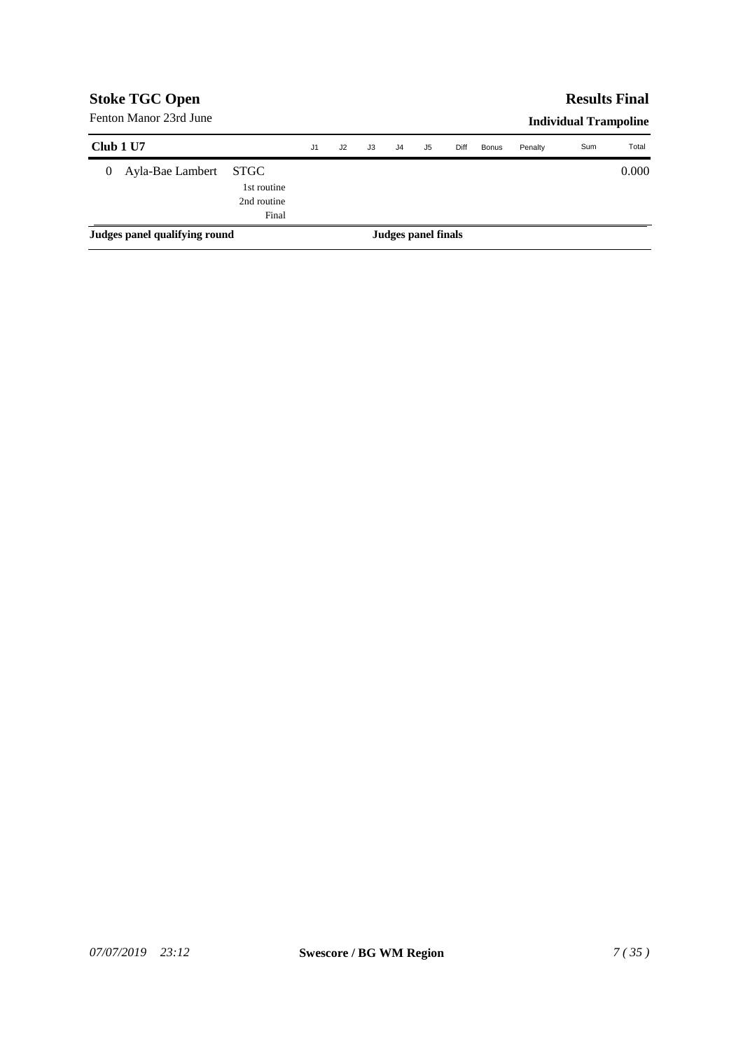|                  | <b>Stoke TGC Open</b>         |                                                    |                |    |    |    |                     |      |              |         | <b>Results Final</b>         |       |
|------------------|-------------------------------|----------------------------------------------------|----------------|----|----|----|---------------------|------|--------------|---------|------------------------------|-------|
|                  | Fenton Manor 23rd June        |                                                    |                |    |    |    |                     |      |              |         | <b>Individual Trampoline</b> |       |
| Club 1 U7        |                               |                                                    | J <sub>1</sub> | J2 | J3 | J4 | J5                  | Diff | <b>Bonus</b> | Penalty | Sum                          | Total |
| $\boldsymbol{0}$ | Ayla-Bae Lambert              | <b>STGC</b><br>1st routine<br>2nd routine<br>Final |                |    |    |    |                     |      |              |         |                              | 0.000 |
|                  | Judges panel qualifying round |                                                    |                |    |    |    | Judges panel finals |      |              |         |                              |       |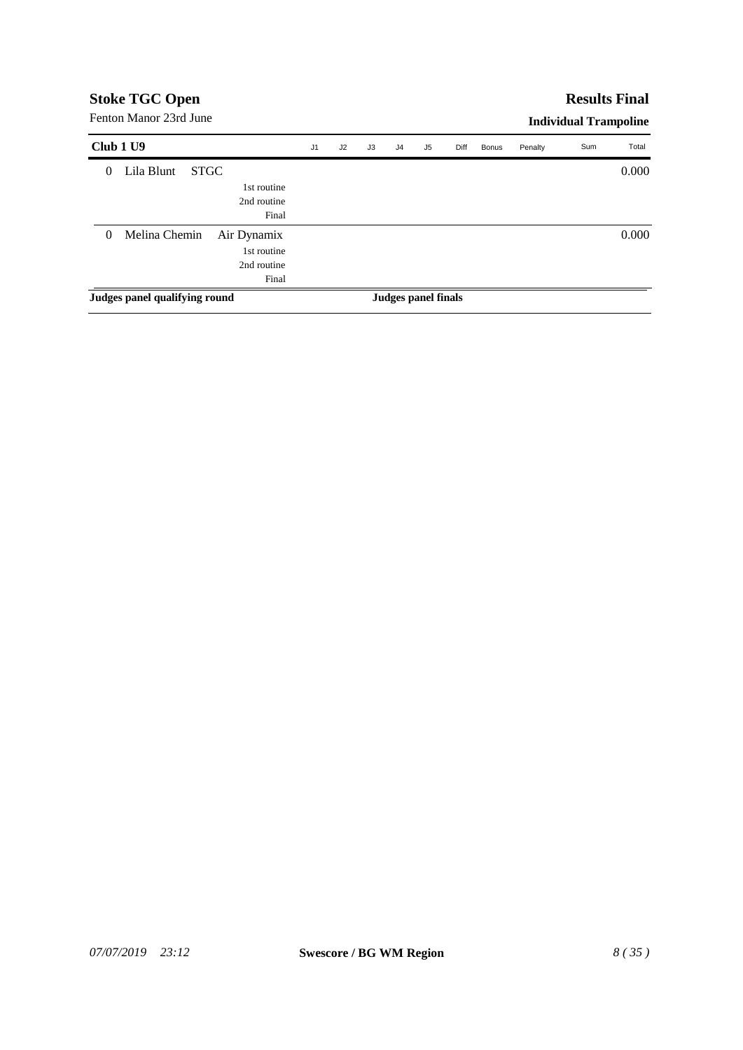### **Results Final**

| Club 1 U9                     |             |             | J1 | J2 | J3 | J <sub>4</sub> | J5                  | Diff | Bonus | Penalty | Sum | Total |
|-------------------------------|-------------|-------------|----|----|----|----------------|---------------------|------|-------|---------|-----|-------|
| Lila Blunt<br>$\theta$        | <b>STGC</b> |             |    |    |    |                |                     |      |       |         |     | 0.000 |
|                               |             | 1st routine |    |    |    |                |                     |      |       |         |     |       |
|                               |             | 2nd routine |    |    |    |                |                     |      |       |         |     |       |
|                               |             | Final       |    |    |    |                |                     |      |       |         |     |       |
| Melina Chemin<br>$\theta$     |             | Air Dynamix |    |    |    |                |                     |      |       |         |     | 0.000 |
|                               |             | 1st routine |    |    |    |                |                     |      |       |         |     |       |
|                               |             | 2nd routine |    |    |    |                |                     |      |       |         |     |       |
|                               |             | Final       |    |    |    |                |                     |      |       |         |     |       |
| Judges panel qualifying round |             |             |    |    |    |                | Judges panel finals |      |       |         |     |       |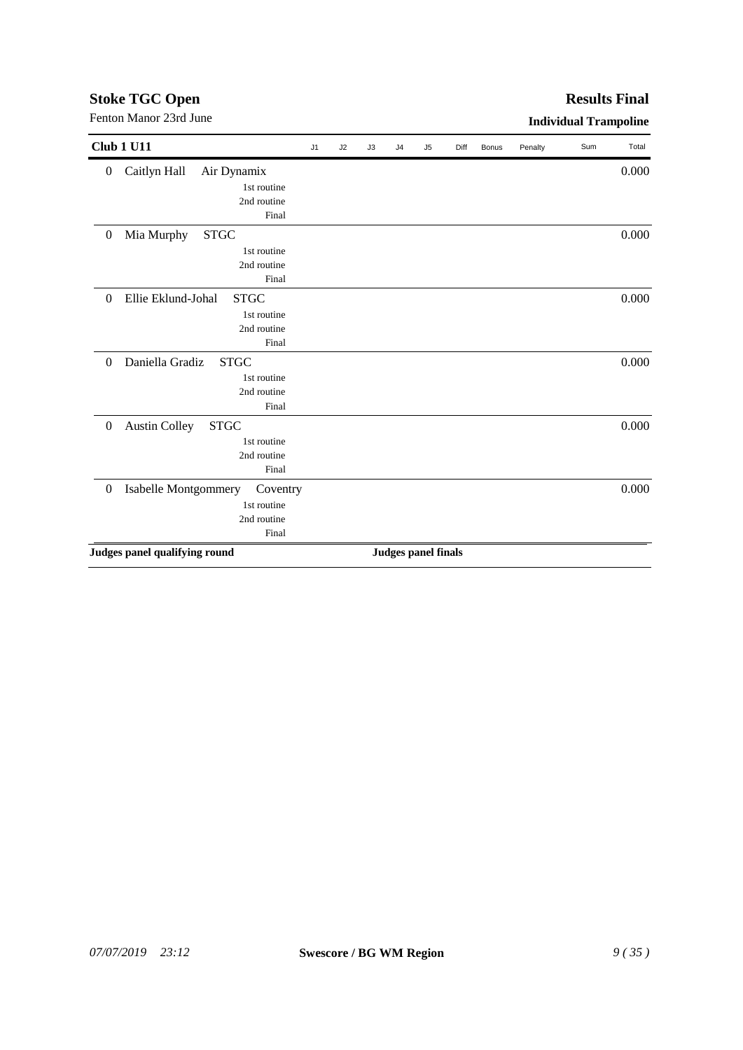## **Stoke TGC Open** Fenton Manor 23rd June **Individual Trampoline**

| <b>Club 1 U11</b>                                     | J1 | J2 | J3 | J4 | J <sub>5</sub>             | Diff | Bonus | Penalty | Sum | Total |
|-------------------------------------------------------|----|----|----|----|----------------------------|------|-------|---------|-----|-------|
| Caitlyn Hall<br>Air Dynamix<br>$\boldsymbol{0}$       |    |    |    |    |                            |      |       |         |     | 0.000 |
| 1st routine                                           |    |    |    |    |                            |      |       |         |     |       |
| 2nd routine                                           |    |    |    |    |                            |      |       |         |     |       |
| Final                                                 |    |    |    |    |                            |      |       |         |     |       |
| Mia Murphy<br><b>STGC</b><br>$\boldsymbol{0}$         |    |    |    |    |                            |      |       |         |     | 0.000 |
| 1st routine                                           |    |    |    |    |                            |      |       |         |     |       |
| 2nd routine                                           |    |    |    |    |                            |      |       |         |     |       |
| Final                                                 |    |    |    |    |                            |      |       |         |     |       |
| Ellie Eklund-Johal<br><b>STGC</b><br>$\Omega$         |    |    |    |    |                            |      |       |         |     | 0.000 |
| 1st routine                                           |    |    |    |    |                            |      |       |         |     |       |
| 2nd routine                                           |    |    |    |    |                            |      |       |         |     |       |
| Final                                                 |    |    |    |    |                            |      |       |         |     |       |
| Daniella Gradiz<br><b>STGC</b><br>$\theta$            |    |    |    |    |                            |      |       |         |     | 0.000 |
| 1st routine                                           |    |    |    |    |                            |      |       |         |     |       |
| 2nd routine                                           |    |    |    |    |                            |      |       |         |     |       |
| Final                                                 |    |    |    |    |                            |      |       |         |     |       |
| <b>Austin Colley</b><br>$\overline{0}$<br><b>STGC</b> |    |    |    |    |                            |      |       |         |     | 0.000 |
| 1st routine                                           |    |    |    |    |                            |      |       |         |     |       |
| 2nd routine                                           |    |    |    |    |                            |      |       |         |     |       |
| Final                                                 |    |    |    |    |                            |      |       |         |     |       |
| Isabelle Montgommery<br>$\boldsymbol{0}$<br>Coventry  |    |    |    |    |                            |      |       |         |     | 0.000 |
| 1st routine                                           |    |    |    |    |                            |      |       |         |     |       |
| 2nd routine                                           |    |    |    |    |                            |      |       |         |     |       |
| Final                                                 |    |    |    |    |                            |      |       |         |     |       |
| Judges panel qualifying round                         |    |    |    |    | <b>Judges panel finals</b> |      |       |         |     |       |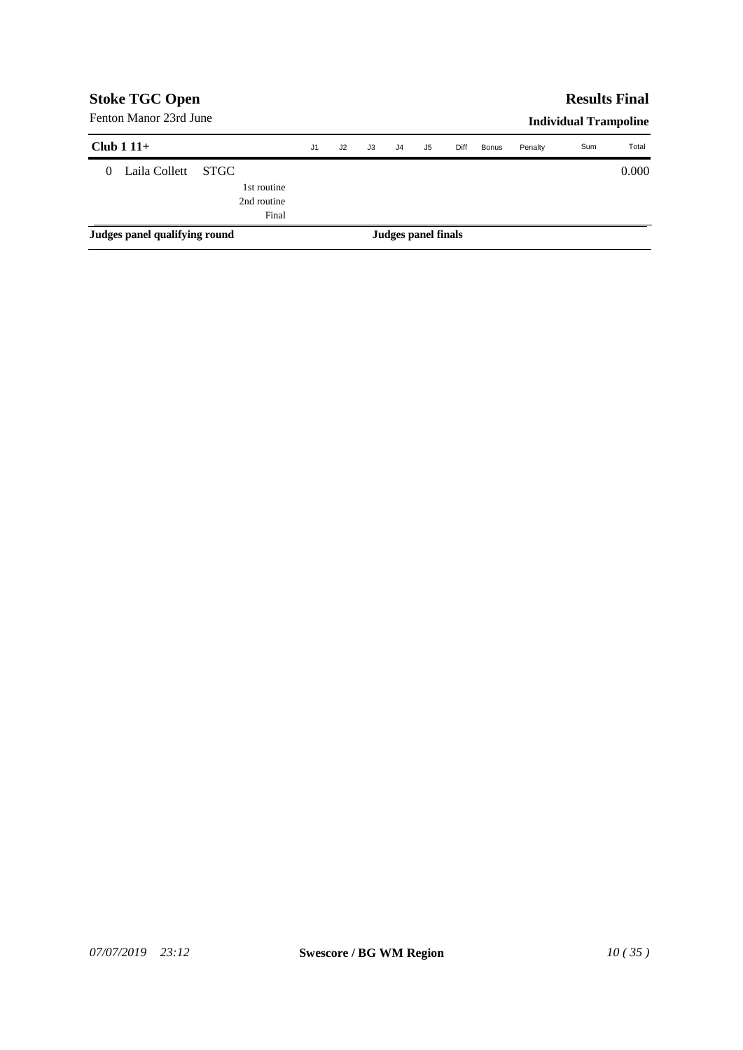|          | <b>Stoke TGC Open</b>         |             |                |    |    |                     |    |      |              |         | <b>Results Final</b>         |       |
|----------|-------------------------------|-------------|----------------|----|----|---------------------|----|------|--------------|---------|------------------------------|-------|
|          | Fenton Manor 23rd June        |             |                |    |    |                     |    |      |              |         | <b>Individual Trampoline</b> |       |
|          | Club $111+$                   |             | J <sub>1</sub> | J2 | J3 | J <sub>4</sub>      | J5 | Diff | <b>Bonus</b> | Penalty | Sum                          | Total |
| $\Omega$ | Laila Collett                 | <b>STGC</b> |                |    |    |                     |    |      |              |         |                              | 0.000 |
|          |                               | 1st routine |                |    |    |                     |    |      |              |         |                              |       |
|          |                               | 2nd routine |                |    |    |                     |    |      |              |         |                              |       |
|          |                               | Final       |                |    |    |                     |    |      |              |         |                              |       |
|          | Judges panel qualifying round |             |                |    |    | Judges panel finals |    |      |              |         |                              |       |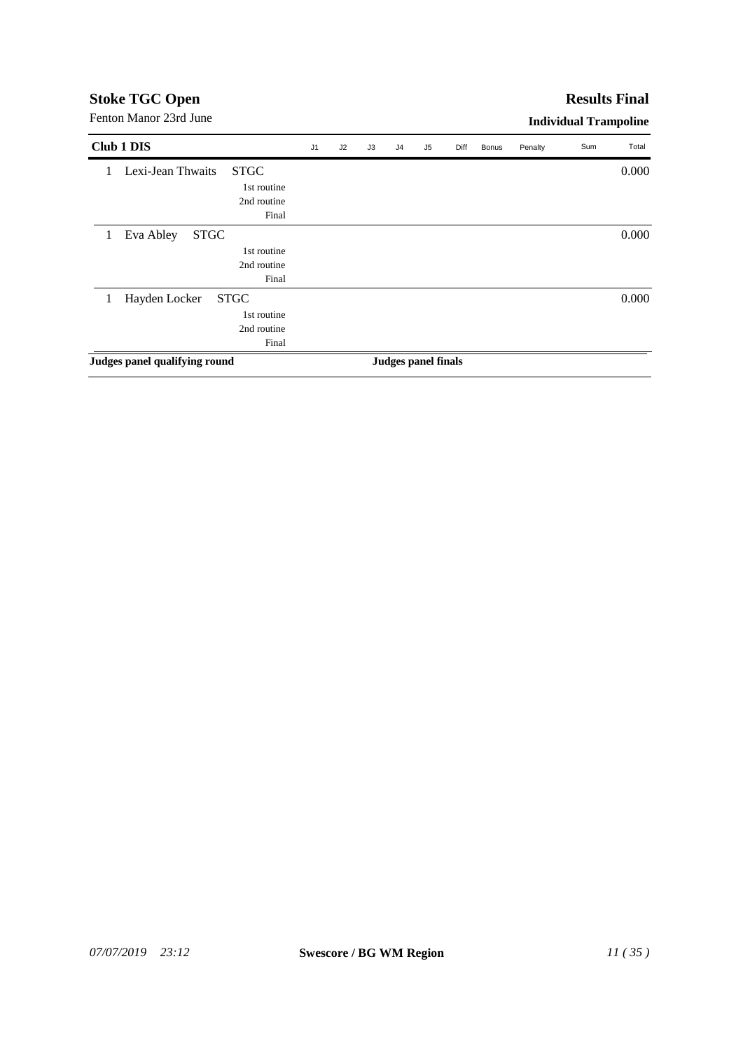| Fenton Manor 23rd June                                                  |    |    |    |                |                     |      |       |         | <b>Individual Trampoline</b> |       |
|-------------------------------------------------------------------------|----|----|----|----------------|---------------------|------|-------|---------|------------------------------|-------|
| Club 1 DIS                                                              | J1 | J2 | J3 | J <sub>4</sub> | J <sub>5</sub>      | Diff | Bonus | Penalty | Sum                          | Total |
| <b>STGC</b><br>Lexi-Jean Thwaits<br>1st routine<br>2nd routine<br>Final |    |    |    |                |                     |      |       |         |                              | 0.000 |
| <b>STGC</b><br>Eva Abley<br>1<br>1st routine<br>2nd routine<br>Final    |    |    |    |                |                     |      |       |         |                              | 0.000 |
| <b>STGC</b><br>Hayden Locker<br>1st routine<br>2nd routine<br>Final     |    |    |    |                |                     |      |       |         |                              | 0.000 |
| Judges panel qualifying round                                           |    |    |    |                | Judges panel finals |      |       |         |                              |       |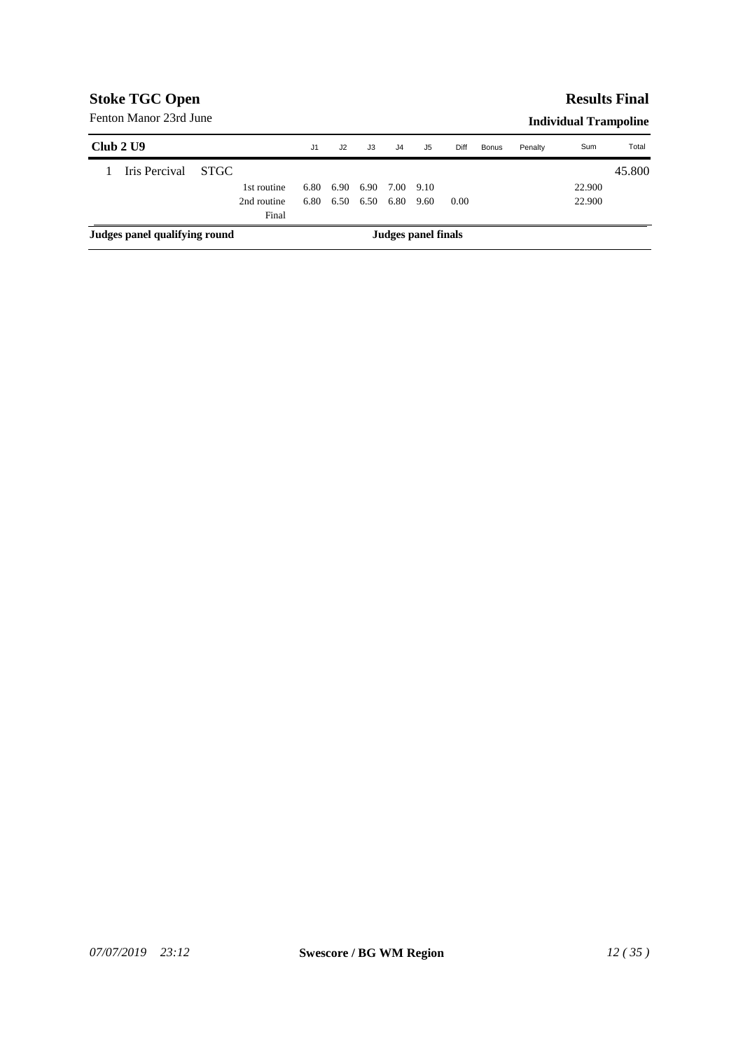### **Results Final**

| Club 2 U9                     |             | J1   | J2   | J3   | J4             | J5                  | Diff | <b>Bonus</b> | Penalty | Sum    | Total  |
|-------------------------------|-------------|------|------|------|----------------|---------------------|------|--------------|---------|--------|--------|
| Iris Percival                 | -STGC -     |      |      |      |                |                     |      |              |         |        | 45.800 |
|                               | 1st routine | 6.80 | 6.90 | 6.90 | 7.00 9.10      |                     |      |              |         | 22.900 |        |
|                               | 2nd routine | 6.80 | 6.50 |      | 6.50 6.80 9.60 |                     | 0.00 |              |         | 22.900 |        |
|                               | Final       |      |      |      |                |                     |      |              |         |        |        |
| Judges panel qualifying round |             |      |      |      |                | Judges panel finals |      |              |         |        |        |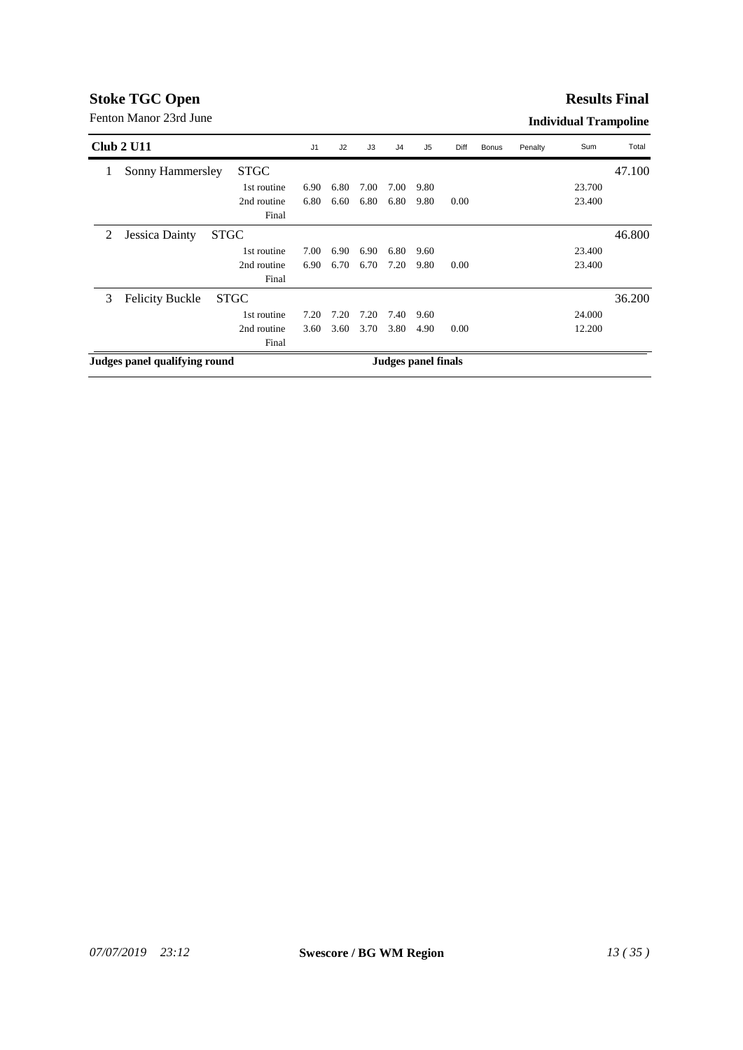#### **Results Final**

|   | Club 2 U11                    |             | J <sub>1</sub> | J2   | J3   | J <sub>4</sub> | J <sub>5</sub>             | Diff | <b>Bonus</b> | Penalty | Sum    | Total  |
|---|-------------------------------|-------------|----------------|------|------|----------------|----------------------------|------|--------------|---------|--------|--------|
| 1 | Sonny Hammersley              | <b>STGC</b> |                |      |      |                |                            |      |              |         |        | 47.100 |
|   |                               | 1st routine | 6.90           | 6.80 | 7.00 | 7.00           | 9.80                       |      |              |         | 23.700 |        |
|   |                               | 2nd routine | 6.80           | 6.60 | 6.80 | 6.80           | 9.80                       | 0.00 |              |         | 23.400 |        |
|   |                               | Final       |                |      |      |                |                            |      |              |         |        |        |
| 2 | Jessica Dainty                | <b>STGC</b> |                |      |      |                |                            |      |              |         |        | 46.800 |
|   |                               | 1st routine | 7.00           | 6.90 | 6.90 | 6.80           | 9.60                       |      |              |         | 23.400 |        |
|   |                               | 2nd routine | 6.90           | 6.70 | 6.70 | 7.20           | 9.80                       | 0.00 |              |         | 23.400 |        |
|   |                               | Final       |                |      |      |                |                            |      |              |         |        |        |
| 3 | <b>Felicity Buckle</b>        | <b>STGC</b> |                |      |      |                |                            |      |              |         |        | 36.200 |
|   |                               | 1st routine | 7.20           | 7.20 | 7.20 | 7.40           | 9.60                       |      |              |         | 24.000 |        |
|   |                               | 2nd routine | 3.60           | 3.60 | 3.70 | 3.80           | 4.90                       | 0.00 |              |         | 12.200 |        |
|   |                               |             |                |      |      |                |                            |      |              |         |        |        |
|   | Judges panel qualifying round |             |                |      |      |                | <b>Judges panel finals</b> |      |              |         |        |        |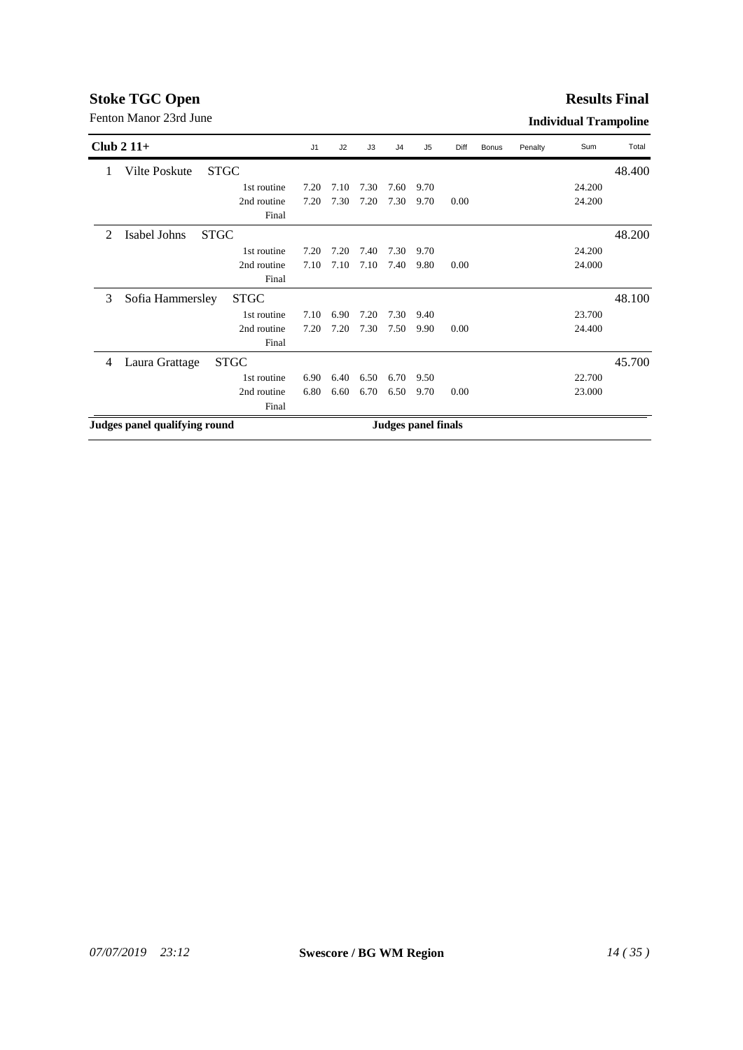### **Results Final**

| Club $2\,11+$  |                               |             | J <sub>1</sub> | J2   | J3   | J <sub>4</sub>             | J <sub>5</sub> | Diff | <b>Bonus</b> | Penalty | Sum    | Total  |
|----------------|-------------------------------|-------------|----------------|------|------|----------------------------|----------------|------|--------------|---------|--------|--------|
| 1              | Vilte Poskute                 | <b>STGC</b> |                |      |      |                            |                |      |              |         |        | 48.400 |
|                |                               | 1st routine | 7.20           | 7.10 | 7.30 | 7.60                       | 9.70           |      |              |         | 24.200 |        |
|                |                               | 2nd routine | 7.20           | 7.30 | 7.20 | 7.30                       | 9.70           | 0.00 |              |         | 24.200 |        |
|                |                               | Final       |                |      |      |                            |                |      |              |         |        |        |
| $\mathfrak{D}$ | Isabel Johns                  | <b>STGC</b> |                |      |      |                            |                |      |              |         |        | 48.200 |
|                |                               | 1st routine | 7.20           | 7.20 | 7.40 | 7.30                       | 9.70           |      |              |         | 24.200 |        |
|                |                               | 2nd routine | 7.10           | 7.10 | 7.10 | 7.40                       | 9.80           | 0.00 |              |         | 24.000 |        |
|                |                               | Final       |                |      |      |                            |                |      |              |         |        |        |
| 3              | Sofia Hammersley              | <b>STGC</b> |                |      |      |                            |                |      |              |         |        | 48.100 |
|                |                               | 1st routine | 7.10           | 6.90 | 7.20 | 7.30                       | 9.40           |      |              |         | 23.700 |        |
|                |                               | 2nd routine | 7.20           | 7.20 | 7.30 | 7.50                       | 9.90           | 0.00 |              |         | 24.400 |        |
|                |                               | Final       |                |      |      |                            |                |      |              |         |        |        |
| 4              | Laura Grattage                | <b>STGC</b> |                |      |      |                            |                |      |              |         |        | 45.700 |
|                |                               | 1st routine | 6.90           | 6.40 | 6.50 | 6.70                       | 9.50           |      |              |         | 22.700 |        |
|                |                               | 2nd routine | 6.80           | 6.60 | 6.70 | 6.50                       | 9.70           | 0.00 |              |         | 23.000 |        |
|                |                               | Final       |                |      |      |                            |                |      |              |         |        |        |
|                | Judges panel qualifying round |             |                |      |      | <b>Judges panel finals</b> |                |      |              |         |        |        |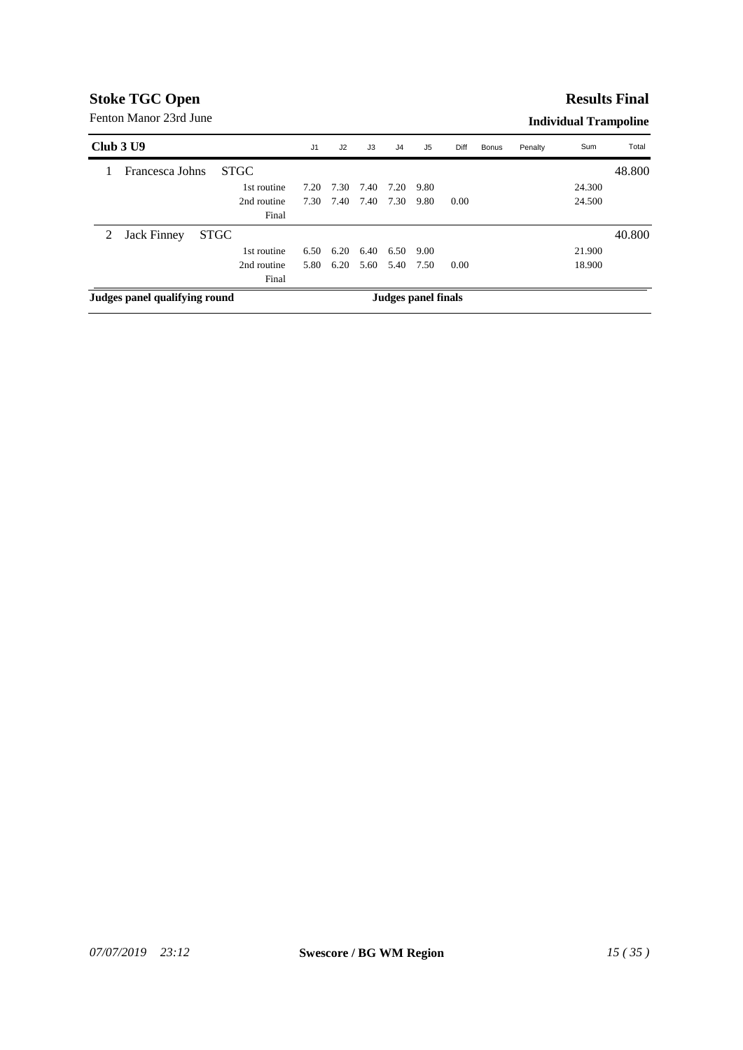#### **Results Final**

| Club 3 U9 |                               |             | J <sub>1</sub> | J2   | J3   | J4                  | J5   | Diff | Bonus | Penalty | Sum    | Total  |
|-----------|-------------------------------|-------------|----------------|------|------|---------------------|------|------|-------|---------|--------|--------|
|           | Francesca Johns               | <b>STGC</b> |                |      |      |                     |      |      |       |         |        | 48.800 |
|           |                               | 1st routine | 7.20           | 7.30 | 7.40 | 7.20                | 9.80 |      |       |         | 24.300 |        |
|           |                               | 2nd routine | 7.30           | 7.40 | 7.40 | 7.30                | 9.80 | 0.00 |       |         | 24.500 |        |
|           |                               | Final       |                |      |      |                     |      |      |       |         |        |        |
| 2         | Jack Finney                   | <b>STGC</b> |                |      |      |                     |      |      |       |         |        | 40.800 |
|           |                               | 1st routine | 6.50           | 6.20 | 6.40 | 6.50                | 9.00 |      |       |         | 21.900 |        |
|           |                               | 2nd routine | 5.80           | 6.20 | 5.60 | 5.40 7.50           |      | 0.00 |       |         | 18.900 |        |
|           |                               |             |                |      |      |                     |      |      |       |         |        |        |
|           | Judges panel qualifying round |             |                |      |      | Judges panel finals |      |      |       |         |        |        |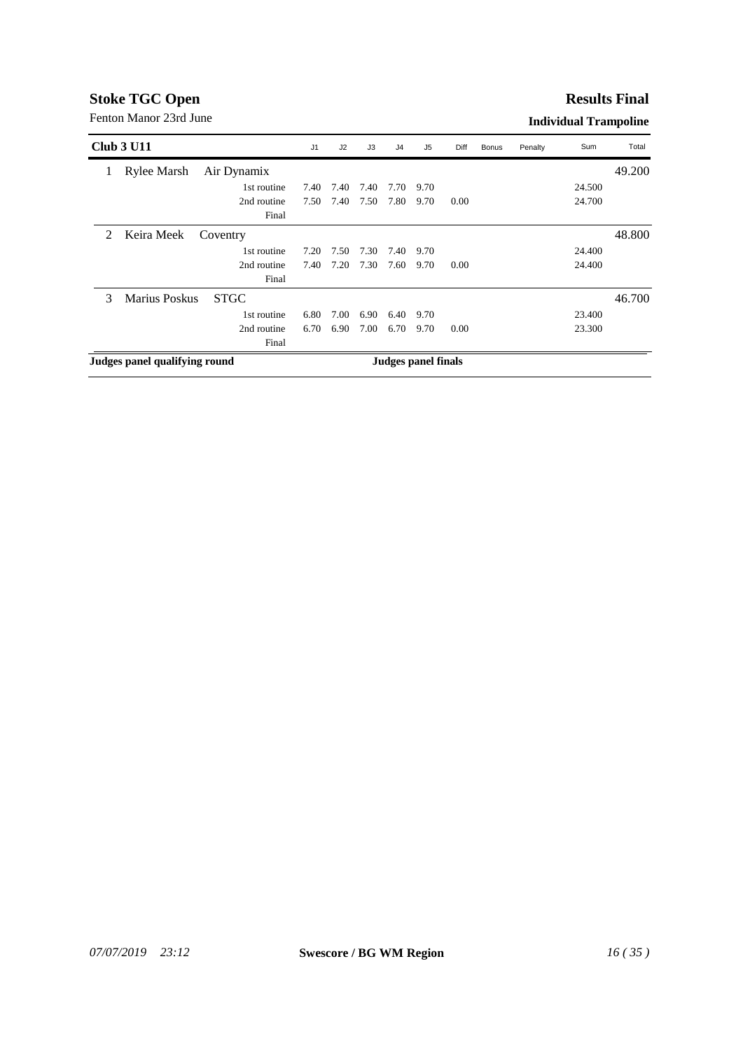#### **Results Final**

|   | <b>Club 3 U11</b>             |             | J <sub>1</sub> | J2   | J3   | J <sub>4</sub>      | J <sub>5</sub> | Diff | <b>Bonus</b> | Penalty | Sum    | Total  |
|---|-------------------------------|-------------|----------------|------|------|---------------------|----------------|------|--------------|---------|--------|--------|
| 1 | <b>Rylee Marsh</b>            | Air Dynamix |                |      |      |                     |                |      |              |         |        | 49.200 |
|   |                               | 1st routine | 7.40           | 7.40 | 7.40 | 7.70                | 9.70           |      |              |         | 24.500 |        |
|   |                               | 2nd routine | 7.50           | 7.40 | 7.50 | 7.80                | 9.70           | 0.00 |              |         | 24.700 |        |
|   |                               | Final       |                |      |      |                     |                |      |              |         |        |        |
| 2 | Keira Meek                    | Coventry    |                |      |      |                     |                |      |              |         |        | 48.800 |
|   |                               | 1st routine | 7.20           | 7.50 | 7.30 | 7.40                | 9.70           |      |              |         | 24.400 |        |
|   |                               | 2nd routine | 7.40           | 7.20 | 7.30 | 7.60                | 9.70           | 0.00 |              |         | 24.400 |        |
|   |                               | Final       |                |      |      |                     |                |      |              |         |        |        |
| 3 | Marius Poskus                 | <b>STGC</b> |                |      |      |                     |                |      |              |         |        | 46.700 |
|   |                               | 1st routine | 6.80           | 7.00 | 6.90 | 6.40                | 9.70           |      |              |         | 23.400 |        |
|   |                               | 2nd routine | 6.70           | 6.90 | 7.00 | 6.70                | 9.70           | 0.00 |              |         | 23.300 |        |
|   |                               | Final       |                |      |      |                     |                |      |              |         |        |        |
|   | Judges panel qualifying round |             |                |      |      | Judges panel finals |                |      |              |         |        |        |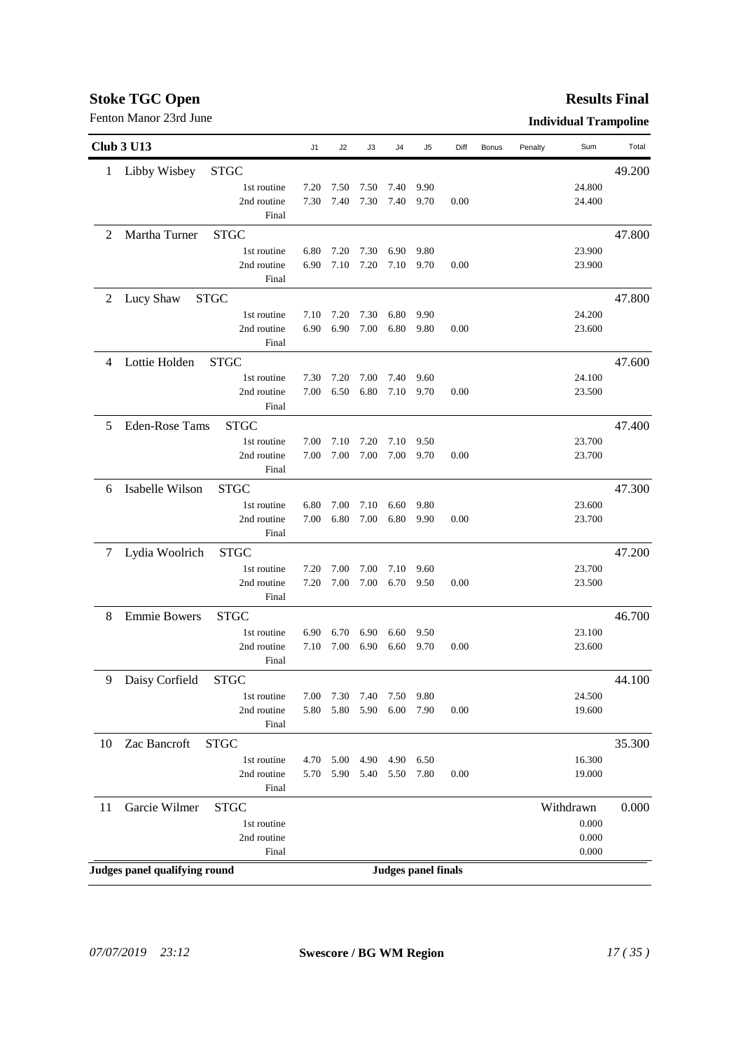#### **Results Final**

|    | <b>Club 3 U13</b>                  | J1           | J2           | J3           | J4           | J5                         | Diff | <b>Bonus</b> | Penalty | Sum              | Total  |
|----|------------------------------------|--------------|--------------|--------------|--------------|----------------------------|------|--------------|---------|------------------|--------|
| 1  | Libby Wisbey<br><b>STGC</b>        |              |              |              |              |                            |      |              |         |                  | 49.200 |
|    | 1st routine                        | 7.20         | 7.50         | 7.50         | 7.40         | 9.90                       |      |              |         | 24.800           |        |
|    | 2nd routine                        | 7.30         | 7.40         | 7.30         | 7.40         | 9.70                       | 0.00 |              |         | 24.400           |        |
|    | Final                              |              |              |              |              |                            |      |              |         |                  |        |
| 2  | Martha Turner<br><b>STGC</b>       |              |              |              |              |                            |      |              |         |                  | 47.800 |
|    | 1st routine                        | 6.80         | 7.20         | 7.30         | 6.90         | 9.80                       |      |              |         | 23.900           |        |
|    | 2nd routine                        | 6.90         | 7.10         | 7.20         | 7.10         | 9.70                       | 0.00 |              |         | 23.900           |        |
|    | Final                              |              |              |              |              |                            |      |              |         |                  |        |
| 2  | Lucy Shaw<br><b>STGC</b>           |              |              |              |              |                            |      |              |         |                  | 47.800 |
|    | 1st routine                        | 7.10         | 7.20         | 7.30         | 6.80         | 9.90                       |      |              |         | 24.200           |        |
|    | 2nd routine                        | 6.90         | 6.90         | 7.00         | 6.80         | 9.80                       | 0.00 |              |         | 23.600           |        |
|    | Final                              |              |              |              |              |                            |      |              |         |                  |        |
| 4  | Lottie Holden<br><b>STGC</b>       |              |              |              |              |                            |      |              |         |                  | 47.600 |
|    | 1st routine                        | 7.30         | 7.20         | 7.00         | 7.40         | 9.60                       |      |              |         | 24.100           |        |
|    | 2nd routine<br>Final               | 7.00         | 6.50         | 6.80         | 7.10         | 9.70                       | 0.00 |              |         | 23.500           |        |
|    | <b>Eden-Rose Tams</b>              |              |              |              |              |                            |      |              |         |                  |        |
| 5  | <b>STGC</b>                        |              |              |              |              |                            |      |              |         |                  | 47.400 |
|    | 1st routine<br>2nd routine         | 7.00<br>7.00 | 7.10<br>7.00 | 7.20<br>7.00 | 7.10<br>7.00 | 9.50<br>9.70               | 0.00 |              |         | 23.700<br>23.700 |        |
|    | Final                              |              |              |              |              |                            |      |              |         |                  |        |
| 6  | Isabelle Wilson<br><b>STGC</b>     |              |              |              |              |                            |      |              |         |                  | 47.300 |
|    | 1st routine                        | 6.80         | 7.00         | 7.10         | 6.60         | 9.80                       |      |              |         | 23.600           |        |
|    | 2nd routine                        | 7.00         | 6.80         | 7.00         | 6.80         | 9.90                       | 0.00 |              |         | 23.700           |        |
|    | Final                              |              |              |              |              |                            |      |              |         |                  |        |
| 7  | Lydia Woolrich<br><b>STGC</b>      |              |              |              |              |                            |      |              |         |                  | 47.200 |
|    | 1st routine                        | 7.20         | 7.00         | 7.00         | 7.10         | 9.60                       |      |              |         | 23.700           |        |
|    | 2nd routine                        | 7.20         | 7.00         | 7.00         | 6.70         | 9.50                       | 0.00 |              |         | 23.500           |        |
|    | Final                              |              |              |              |              |                            |      |              |         |                  |        |
| 8  | <b>Emmie Bowers</b><br><b>STGC</b> |              |              |              |              |                            |      |              |         |                  | 46.700 |
|    | 1st routine                        | 6.90         | 6.70         | 6.90         | 6.60         | 9.50                       |      |              |         | 23.100           |        |
|    | 2nd routine                        | 7.10         | 7.00         | 6.90         | 6.60         | 9.70                       | 0.00 |              |         | 23.600           |        |
|    | Final                              |              |              |              |              |                            |      |              |         |                  |        |
| 9  | Daisy Corfield<br><b>STGC</b>      |              |              |              |              |                            |      |              |         |                  | 44.100 |
|    | 1st routine                        | 7.00         | 7.30         | 7.40         | 7.50         | 9.80                       |      |              |         | 24.500           |        |
|    | 2nd routine                        | 5.80         | 5.80         | 5.90         | 6.00         | 7.90                       | 0.00 |              |         | 19.600           |        |
|    | Final                              |              |              |              |              |                            |      |              |         |                  |        |
| 10 | Zac Bancroft<br><b>STGC</b>        |              |              |              |              |                            |      |              |         |                  | 35.300 |
|    | 1st routine                        | 4.70         | 5.00         | 4.90         | 4.90         | 6.50                       |      |              |         | 16.300           |        |
|    | 2nd routine<br>Final               | 5.70         | 5.90         | 5.40         | 5.50         | 7.80                       | 0.00 |              |         | 19.000           |        |
|    |                                    |              |              |              |              |                            |      |              |         |                  |        |
| 11 | Garcie Wilmer<br><b>STGC</b>       |              |              |              |              |                            |      |              |         | Withdrawn        | 0.000  |
|    | 1st routine<br>2nd routine         |              |              |              |              |                            |      |              |         | 0.000<br>0.000   |        |
|    | Final                              |              |              |              |              |                            |      |              |         | 0.000            |        |
|    | Judges panel qualifying round      |              |              |              |              | <b>Judges panel finals</b> |      |              |         |                  |        |
|    |                                    |              |              |              |              |                            |      |              |         |                  |        |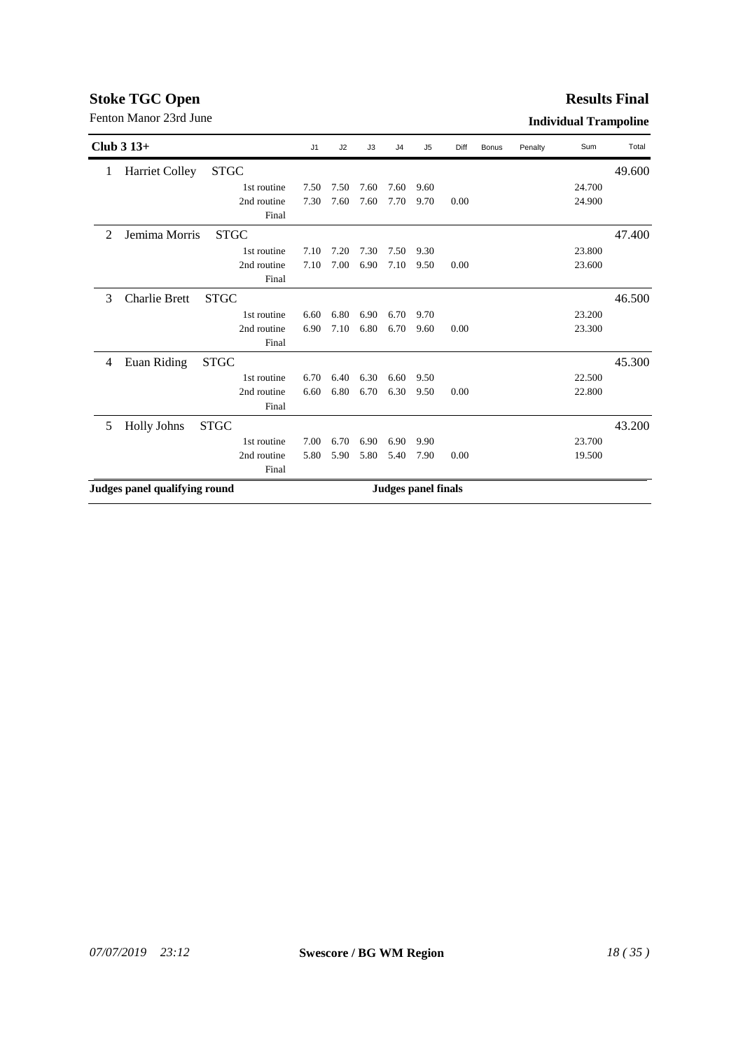#### **Results Final**

|                | Club $313+$                   |             | J1   | J2   | J3   | J <sub>4</sub>             | J5   | Diff | <b>Bonus</b> | Penalty | Sum    | Total  |
|----------------|-------------------------------|-------------|------|------|------|----------------------------|------|------|--------------|---------|--------|--------|
| 1              | <b>Harriet Colley</b>         | <b>STGC</b> |      |      |      |                            |      |      |              |         |        | 49.600 |
|                |                               | 1st routine | 7.50 | 7.50 | 7.60 | 7.60                       | 9.60 |      |              |         | 24.700 |        |
|                |                               | 2nd routine | 7.30 | 7.60 | 7.60 | 7.70                       | 9.70 | 0.00 |              |         | 24.900 |        |
|                |                               | Final       |      |      |      |                            |      |      |              |         |        |        |
| $\mathfrak{D}$ | Jemima Morris                 | <b>STGC</b> |      |      |      |                            |      |      |              |         |        | 47.400 |
|                |                               | 1st routine | 7.10 | 7.20 | 7.30 | 7.50                       | 9.30 |      |              |         | 23.800 |        |
|                |                               | 2nd routine | 7.10 | 7.00 | 6.90 | 7.10                       | 9.50 | 0.00 |              |         | 23.600 |        |
|                |                               | Final       |      |      |      |                            |      |      |              |         |        |        |
| 3              | <b>Charlie Brett</b>          | <b>STGC</b> |      |      |      |                            |      |      |              |         |        | 46.500 |
|                |                               | 1st routine | 6.60 | 6.80 | 6.90 | 6.70                       | 9.70 |      |              |         | 23.200 |        |
|                |                               | 2nd routine | 6.90 | 7.10 | 6.80 | 6.70                       | 9.60 | 0.00 |              |         | 23.300 |        |
|                |                               | Final       |      |      |      |                            |      |      |              |         |        |        |
| 4              | Euan Riding                   | <b>STGC</b> |      |      |      |                            |      |      |              |         |        | 45.300 |
|                |                               | 1st routine | 6.70 | 6.40 | 6.30 | 6.60                       | 9.50 |      |              |         | 22.500 |        |
|                |                               | 2nd routine | 6.60 | 6.80 | 6.70 | 6.30                       | 9.50 | 0.00 |              |         | 22.800 |        |
|                |                               | Final       |      |      |      |                            |      |      |              |         |        |        |
| 5              | <b>Holly Johns</b>            | <b>STGC</b> |      |      |      |                            |      |      |              |         |        | 43.200 |
|                |                               | 1st routine | 7.00 | 6.70 | 6.90 | 6.90                       | 9.90 |      |              |         | 23.700 |        |
|                |                               | 2nd routine | 5.80 | 5.90 | 5.80 | 5.40                       | 7.90 | 0.00 |              |         | 19.500 |        |
|                |                               | Final       |      |      |      |                            |      |      |              |         |        |        |
|                | Judges panel qualifying round |             |      |      |      | <b>Judges panel finals</b> |      |      |              |         |        |        |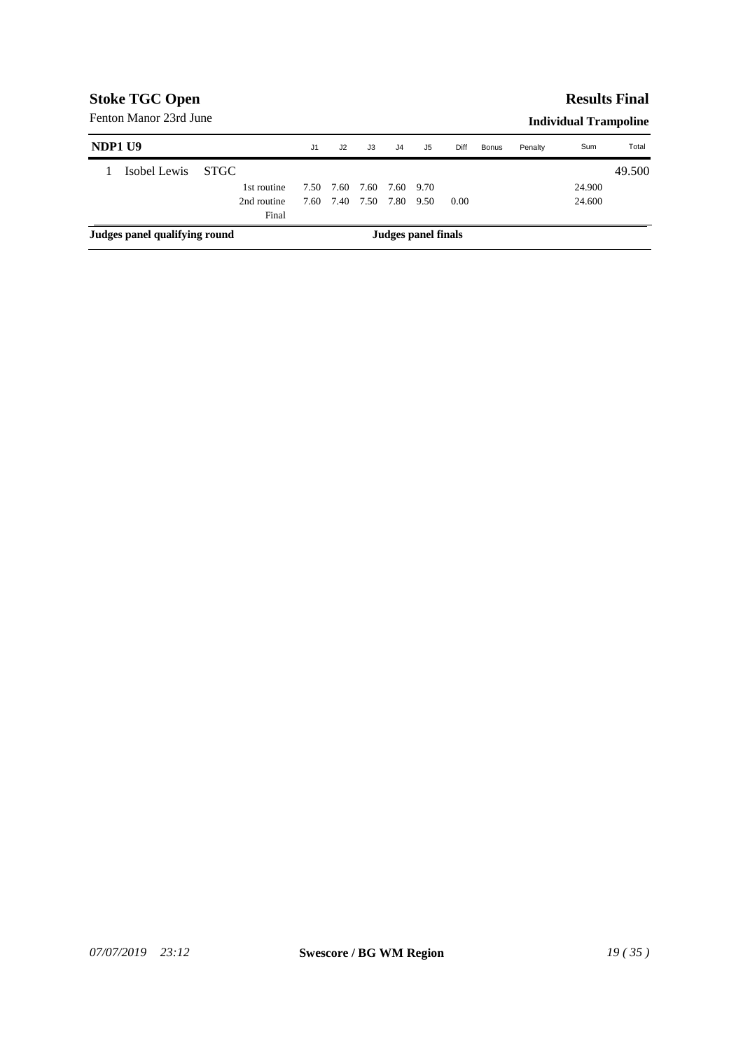### **Results Final**

| NDP1 U9 |                               |             | J1   | J2   | J3   | J <sub>4</sub>      | J5        | Diff | <b>Bonus</b> | Penalty | Sum    | Total  |
|---------|-------------------------------|-------------|------|------|------|---------------------|-----------|------|--------------|---------|--------|--------|
|         | Isobel Lewis                  | STGC.       |      |      |      |                     |           |      |              |         |        | 49.500 |
|         |                               | 1st routine | 7.50 | 7.60 | 7.60 |                     | 7.60 9.70 |      |              |         | 24.900 |        |
|         |                               | 2nd routine | 7.60 | 7.40 | 7.50 | 7.80                | 9.50      | 0.00 |              |         | 24.600 |        |
|         |                               | Final       |      |      |      |                     |           |      |              |         |        |        |
|         | Judges panel qualifying round |             |      |      |      | Judges panel finals |           |      |              |         |        |        |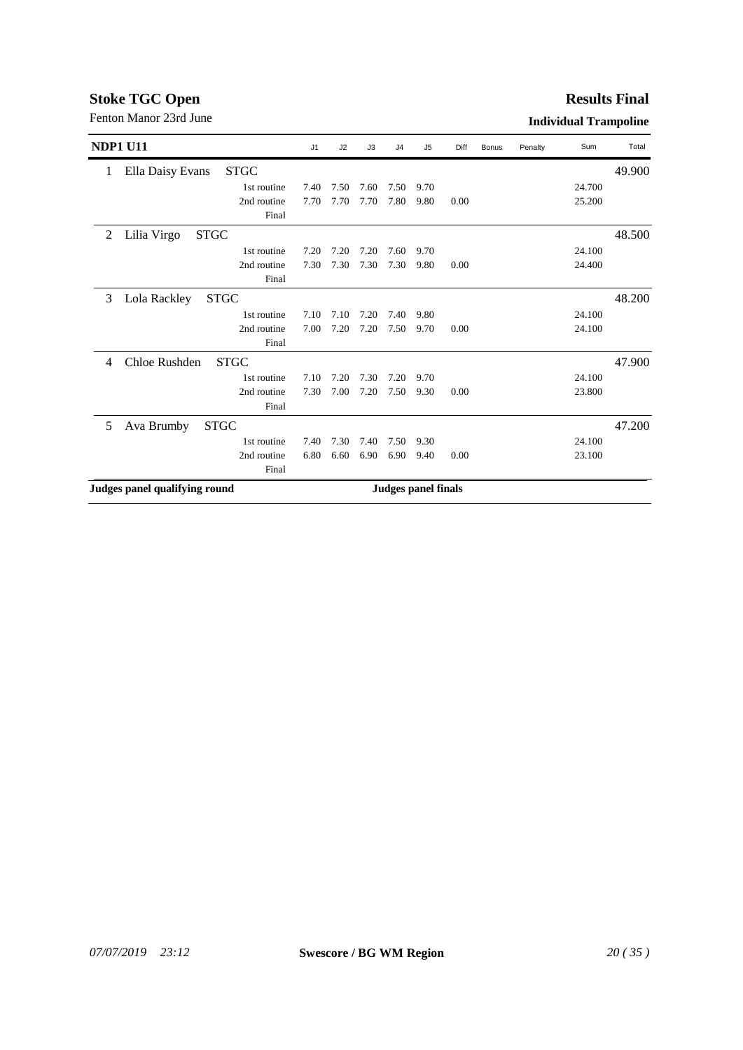#### **Results Final**

| <b>NDP1 U11</b>                                | J1   | J2   | J3   | J <sub>4</sub> | J <sub>5</sub>             | Diff | Bonus | Penalty | Sum    | Total  |
|------------------------------------------------|------|------|------|----------------|----------------------------|------|-------|---------|--------|--------|
| Ella Daisy Evans<br><b>STGC</b><br>1           |      |      |      |                |                            |      |       |         |        | 49.900 |
| 1st routine                                    | 7.40 | 7.50 | 7.60 | 7.50           | 9.70                       |      |       |         | 24.700 |        |
| 2nd routine                                    | 7.70 | 7.70 | 7.70 | 7.80           | 9.80                       | 0.00 |       |         | 25.200 |        |
| Final                                          |      |      |      |                |                            |      |       |         |        |        |
| <b>STGC</b><br>2<br>Lilia Virgo                |      |      |      |                |                            |      |       |         |        | 48.500 |
| 1st routine                                    | 7.20 | 7.20 | 7.20 | 7.60           | 9.70                       |      |       |         | 24.100 |        |
| 2nd routine                                    | 7.30 | 7.30 | 7.30 | 7.30           | 9.80                       | 0.00 |       |         | 24.400 |        |
| Final                                          |      |      |      |                |                            |      |       |         |        |        |
| <b>STGC</b><br>Lola Rackley<br>3               |      |      |      |                |                            |      |       |         |        | 48.200 |
| 1st routine                                    | 7.10 | 7.10 | 7.20 | 7.40           | 9.80                       |      |       |         | 24.100 |        |
| 2nd routine                                    | 7.00 | 7.20 | 7.20 | 7.50           | 9.70                       | 0.00 |       |         | 24.100 |        |
| Final                                          |      |      |      |                |                            |      |       |         |        |        |
| Chloe Rushden<br><b>STGC</b><br>$\overline{4}$ |      |      |      |                |                            |      |       |         |        | 47.900 |
| 1st routine                                    | 7.10 | 7.20 | 7.30 | 7.20           | 9.70                       |      |       |         | 24.100 |        |
| 2nd routine                                    | 7.30 | 7.00 | 7.20 | 7.50           | 9.30                       | 0.00 |       |         | 23.800 |        |
| Final                                          |      |      |      |                |                            |      |       |         |        |        |
| <b>STGC</b><br>Ava Brumby<br>5                 |      |      |      |                |                            |      |       |         |        | 47.200 |
| 1st routine                                    | 7.40 | 7.30 | 7.40 | 7.50           | 9.30                       |      |       |         | 24.100 |        |
| 2nd routine                                    | 6.80 | 6.60 | 6.90 | 6.90           | 9.40                       | 0.00 |       |         | 23.100 |        |
| Final                                          |      |      |      |                |                            |      |       |         |        |        |
| Judges panel qualifying round                  |      |      |      |                | <b>Judges panel finals</b> |      |       |         |        |        |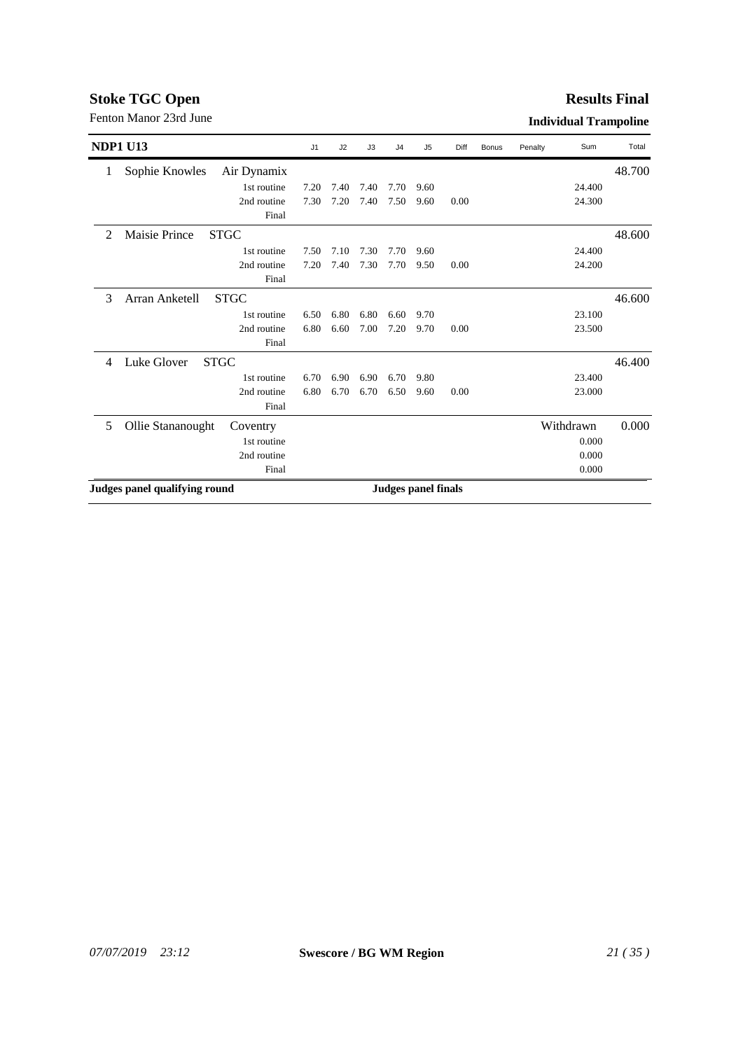#### **Results Final**

| <b>NDP1 U13</b>                                       | J1   | J2   | J3   | J <sub>4</sub> | J <sub>5</sub>             | Diff | Bonus | Penalty | Sum       | Total  |
|-------------------------------------------------------|------|------|------|----------------|----------------------------|------|-------|---------|-----------|--------|
| Sophie Knowles<br>Air Dynamix<br>1                    |      |      |      |                |                            |      |       |         |           | 48.700 |
| 1st routine                                           | 7.20 | 7.40 | 7.40 | 7.70           | 9.60                       |      |       |         | 24.400    |        |
| 2nd routine                                           | 7.30 | 7.20 | 7.40 | 7.50           | 9.60                       | 0.00 |       |         | 24.300    |        |
| Final                                                 |      |      |      |                |                            |      |       |         |           |        |
| <b>STGC</b><br>$\mathfrak{D}$<br><b>Maisie Prince</b> |      |      |      |                |                            |      |       |         |           | 48.600 |
| 1st routine                                           | 7.50 | 7.10 | 7.30 | 7.70           | 9.60                       |      |       |         | 24.400    |        |
| 2nd routine                                           | 7.20 | 7.40 | 7.30 | 7.70           | 9.50                       | 0.00 |       |         | 24.200    |        |
| Final                                                 |      |      |      |                |                            |      |       |         |           |        |
| <b>STGC</b><br>Arran Anketell<br>3                    |      |      |      |                |                            |      |       |         |           | 46.600 |
| 1st routine                                           | 6.50 | 6.80 | 6.80 | 6.60           | 9.70                       |      |       |         | 23.100    |        |
| 2nd routine                                           | 6.80 | 6.60 | 7.00 | 7.20           | 9.70                       | 0.00 |       |         | 23.500    |        |
| Final                                                 |      |      |      |                |                            |      |       |         |           |        |
| Luke Glover<br><b>STGC</b><br>4                       |      |      |      |                |                            |      |       |         |           | 46.400 |
| 1st routine                                           | 6.70 | 6.90 | 6.90 | 6.70           | 9.80                       |      |       |         | 23.400    |        |
| 2nd routine                                           | 6.80 | 6.70 | 6.70 | 6.50           | 9.60                       | 0.00 |       |         | 23.000    |        |
| Final                                                 |      |      |      |                |                            |      |       |         |           |        |
| Ollie Stananought<br>5<br>Coventry                    |      |      |      |                |                            |      |       |         | Withdrawn | 0.000  |
| 1st routine                                           |      |      |      |                |                            |      |       |         | 0.000     |        |
| 2nd routine                                           |      |      |      |                |                            |      |       |         | 0.000     |        |
| Final                                                 |      |      |      |                |                            |      |       |         | 0.000     |        |
| Judges panel qualifying round                         |      |      |      |                | <b>Judges panel finals</b> |      |       |         |           |        |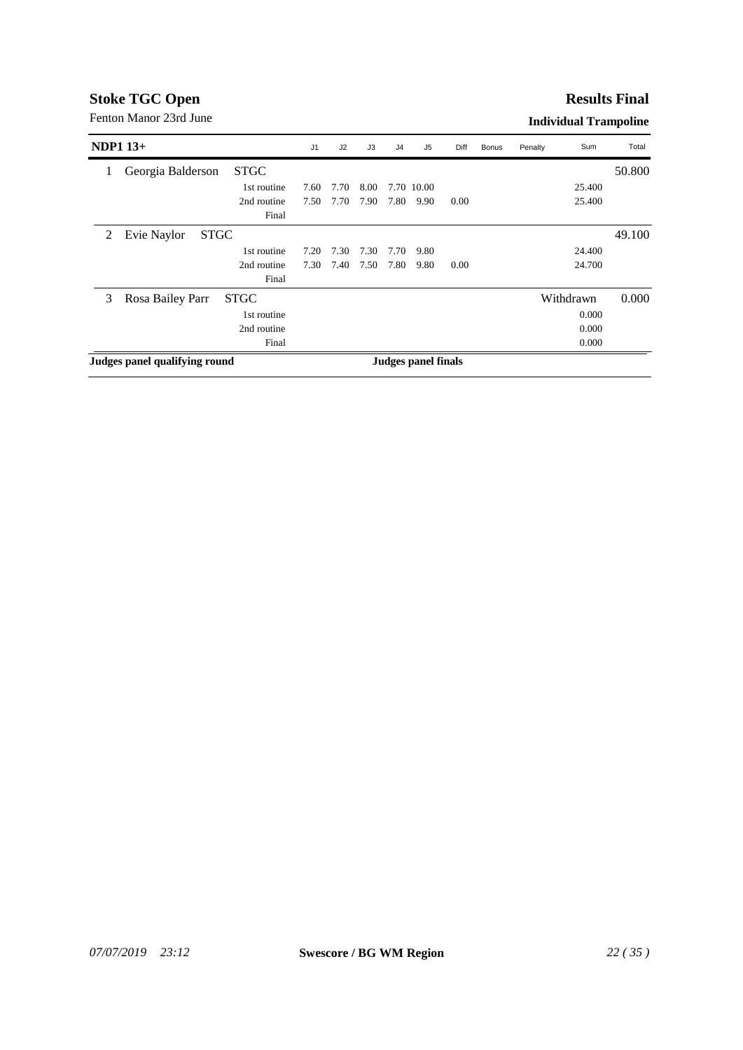#### **Results Final**

| NDP1 $13+$ |                               |             | J <sub>1</sub> | J2   | J3   | J <sub>4</sub>             | J5         | Diff | <b>Bonus</b> | Penalty | Sum       | Total  |
|------------|-------------------------------|-------------|----------------|------|------|----------------------------|------------|------|--------------|---------|-----------|--------|
| 1          | Georgia Balderson             | <b>STGC</b> |                |      |      |                            |            |      |              |         |           | 50.800 |
|            |                               | 1st routine | 7.60           | 7.70 | 8.00 |                            | 7.70 10.00 |      |              |         | 25.400    |        |
|            |                               | 2nd routine | 7.50           | 7.70 | 7.90 | 7.80                       | 9.90       | 0.00 |              |         | 25.400    |        |
|            |                               | Final       |                |      |      |                            |            |      |              |         |           |        |
| 2          | <b>STGC</b><br>Evie Naylor    |             |                |      |      |                            |            |      |              |         |           | 49.100 |
|            |                               | 1st routine | 7.20           | 7.30 | 7.30 | 7.70                       | 9.80       |      |              |         | 24.400    |        |
|            |                               | 2nd routine | 7.30           | 7.40 | 7.50 | 7.80                       | 9.80       | 0.00 |              |         | 24.700    |        |
|            |                               | Final       |                |      |      |                            |            |      |              |         |           |        |
| 3          | Rosa Bailey Parr              | <b>STGC</b> |                |      |      |                            |            |      |              |         | Withdrawn | 0.000  |
|            |                               | 1st routine |                |      |      |                            |            |      |              |         | 0.000     |        |
|            |                               | 2nd routine |                |      |      |                            |            |      |              |         | 0.000     |        |
|            |                               | Final       |                |      |      |                            |            |      |              |         | 0.000     |        |
|            | Judges panel qualifying round |             |                |      |      | <b>Judges panel finals</b> |            |      |              |         |           |        |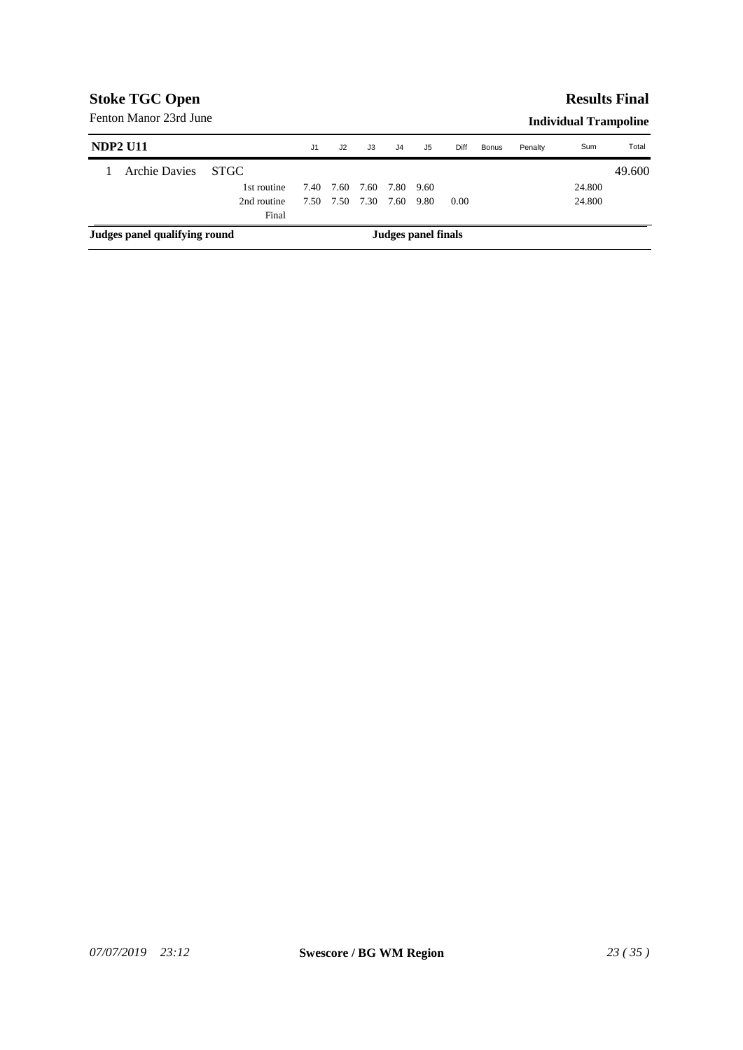### **Results Final**

| <b>NDP2 U11</b>               |             | J1   | J <sub>2</sub> | J3   | J4   | J5                  | Diff | Bonus | Penalty | Sum    | Total  |
|-------------------------------|-------------|------|----------------|------|------|---------------------|------|-------|---------|--------|--------|
| <b>Archie Davies</b>          | <b>STGC</b> |      |                |      |      |                     |      |       |         |        | 49.600 |
|                               | 1st routine | 7.40 | 7.60           | 7.60 | 7.80 | - 9.60              |      |       |         | 24.800 |        |
|                               | 2nd routine | 7.50 | 7.50           | 7.30 | 7.60 | 9.80                | 0.00 |       |         | 24.800 |        |
|                               | Final       |      |                |      |      |                     |      |       |         |        |        |
| Judges panel qualifying round |             |      |                |      |      | Judges panel finals |      |       |         |        |        |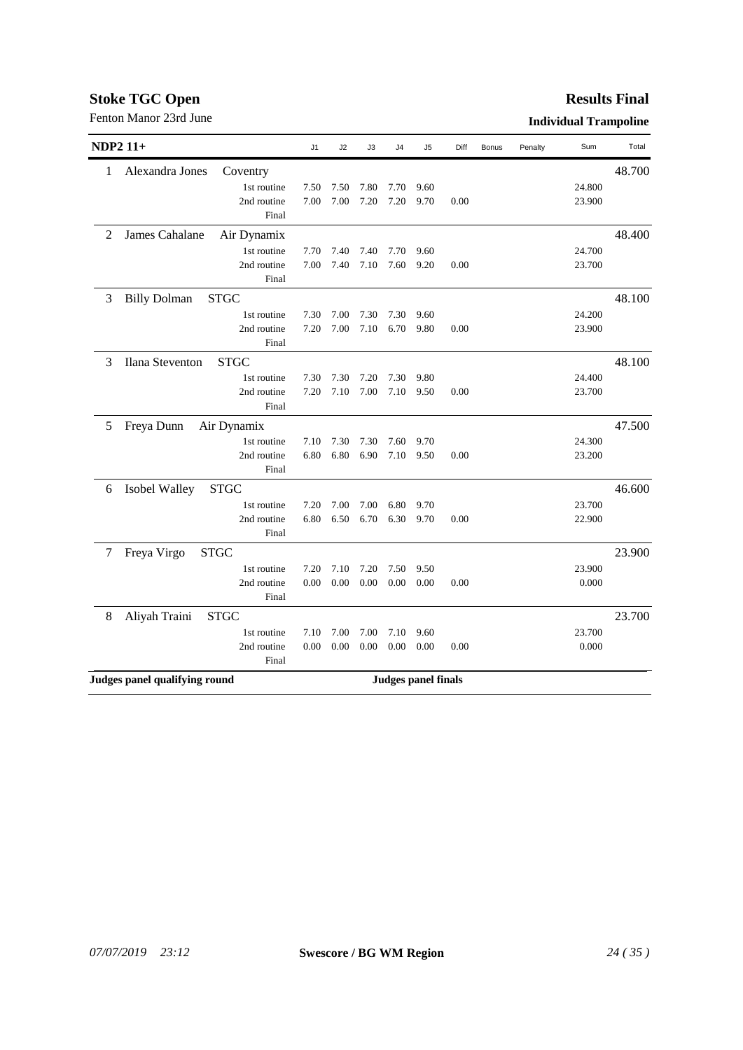|                 | Fenton Manor 23rd June        |             |                |      |      |                            |      |      |              |         | <b>Individual Trampoline</b> |        |
|-----------------|-------------------------------|-------------|----------------|------|------|----------------------------|------|------|--------------|---------|------------------------------|--------|
| <b>NDP2 11+</b> |                               |             | J <sub>1</sub> | J2   | J3   | J4                         | J5   | Diff | <b>Bonus</b> | Penalty | Sum                          | Total  |
| 1               | Alexandra Jones               | Coventry    |                |      |      |                            |      |      |              |         |                              | 48.700 |
|                 |                               | 1st routine | 7.50           | 7.50 | 7.80 | 7.70                       | 9.60 |      |              |         | 24.800                       |        |
|                 |                               | 2nd routine | 7.00           | 7.00 | 7.20 | 7.20                       | 9.70 | 0.00 |              |         | 23.900                       |        |
|                 |                               | Final       |                |      |      |                            |      |      |              |         |                              |        |
| 2               | James Cahalane                | Air Dynamix |                |      |      |                            |      |      |              |         |                              | 48.400 |
|                 |                               | 1st routine | 7.70           | 7.40 | 7.40 | 7.70                       | 9.60 |      |              |         | 24.700                       |        |
|                 |                               | 2nd routine | 7.00           | 7.40 | 7.10 | 7.60                       | 9.20 | 0.00 |              |         | 23.700                       |        |
|                 |                               | Final       |                |      |      |                            |      |      |              |         |                              |        |
| 3               | <b>Billy Dolman</b>           | <b>STGC</b> |                |      |      |                            |      |      |              |         |                              | 48.100 |
|                 |                               | 1st routine | 7.30           | 7.00 | 7.30 | 7.30                       | 9.60 |      |              |         | 24.200                       |        |
|                 |                               | 2nd routine | 7.20           | 7.00 | 7.10 | 6.70                       | 9.80 | 0.00 |              |         | 23.900                       |        |
|                 |                               | Final       |                |      |      |                            |      |      |              |         |                              |        |
| 3               | Ilana Steventon               | <b>STGC</b> |                |      |      |                            |      |      |              |         |                              | 48.100 |
|                 |                               | 1st routine | 7.30           | 7.30 | 7.20 | 7.30                       | 9.80 |      |              |         | 24.400                       |        |
|                 |                               | 2nd routine | 7.20           | 7.10 | 7.00 | 7.10                       | 9.50 | 0.00 |              |         | 23.700                       |        |
|                 |                               | Final       |                |      |      |                            |      |      |              |         |                              |        |
| 5               | Freya Dunn                    | Air Dynamix |                |      |      |                            |      |      |              |         |                              | 47.500 |
|                 |                               | 1st routine | 7.10           | 7.30 | 7.30 | 7.60                       | 9.70 |      |              |         | 24.300                       |        |
|                 |                               | 2nd routine | 6.80           | 6.80 | 6.90 | 7.10                       | 9.50 | 0.00 |              |         | 23.200                       |        |
|                 |                               | Final       |                |      |      |                            |      |      |              |         |                              |        |
| 6               | Isobel Walley                 | <b>STGC</b> |                |      |      |                            |      |      |              |         |                              | 46.600 |
|                 |                               | 1st routine | 7.20           | 7.00 | 7.00 | 6.80                       | 9.70 |      |              |         | 23.700                       |        |
|                 |                               | 2nd routine | 6.80           | 6.50 | 6.70 | 6.30                       | 9.70 | 0.00 |              |         | 22.900                       |        |
|                 |                               | Final       |                |      |      |                            |      |      |              |         |                              |        |
| 7               | Freya Virgo<br><b>STGC</b>    |             |                |      |      |                            |      |      |              |         |                              | 23.900 |
|                 |                               | 1st routine | 7.20           | 7.10 | 7.20 | 7.50                       | 9.50 |      |              |         | 23.900                       |        |
|                 |                               | 2nd routine | 0.00           | 0.00 | 0.00 | 0.00                       | 0.00 | 0.00 |              |         | 0.000                        |        |
|                 |                               | Final       |                |      |      |                            |      |      |              |         |                              |        |
| 8               | Aliyah Traini                 | <b>STGC</b> |                |      |      |                            |      |      |              |         |                              | 23.700 |
|                 |                               | 1st routine | 7.10           | 7.00 | 7.00 | 7.10                       | 9.60 |      |              |         | 23.700                       |        |
|                 |                               | 2nd routine | 0.00           | 0.00 | 0.00 | 0.00                       | 0.00 | 0.00 |              |         | 0.000                        |        |
|                 |                               | Final       |                |      |      |                            |      |      |              |         |                              |        |
|                 | Judges panel qualifying round |             |                |      |      | <b>Judges panel finals</b> |      |      |              |         |                              |        |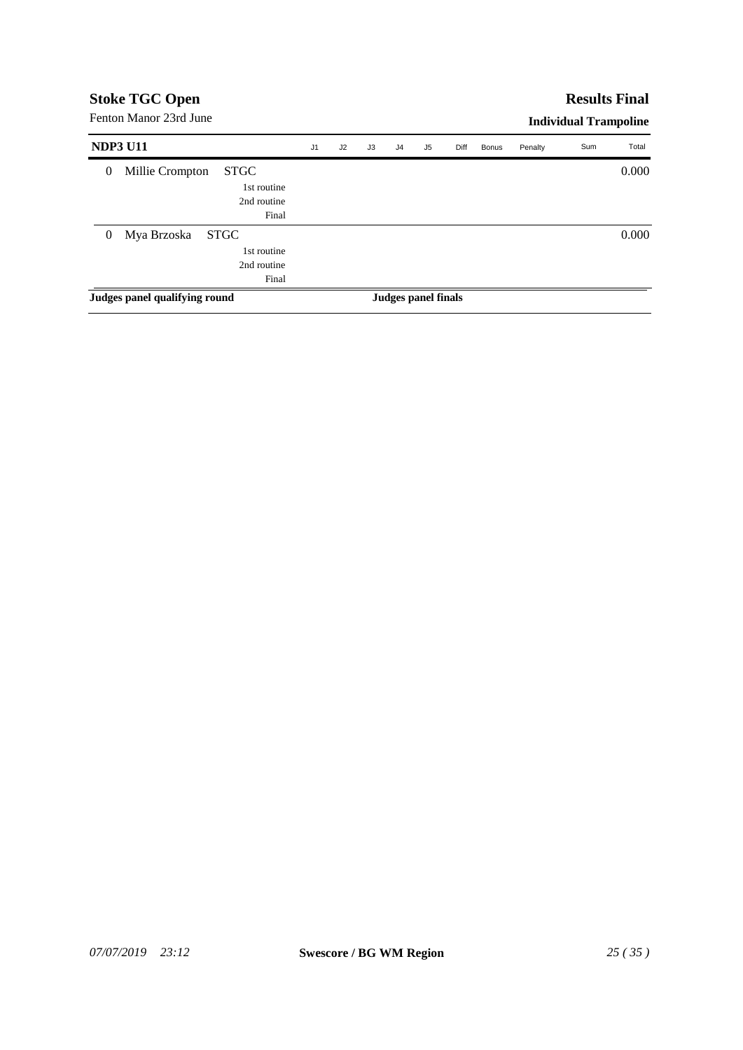#### **Results Final**

| <b>NDP3 U11</b> |                               |             | J <sub>1</sub> | J2 | J3 | J <sub>4</sub>      | J5 | Diff | <b>Bonus</b> | Penalty | Sum | Total |
|-----------------|-------------------------------|-------------|----------------|----|----|---------------------|----|------|--------------|---------|-----|-------|
| $\mathbf{0}$    | Millie Crompton               | <b>STGC</b> |                |    |    |                     |    |      |              |         |     | 0.000 |
|                 |                               | 1st routine |                |    |    |                     |    |      |              |         |     |       |
|                 |                               | 2nd routine |                |    |    |                     |    |      |              |         |     |       |
|                 |                               | Final       |                |    |    |                     |    |      |              |         |     |       |
| $\mathbf{0}$    | Mya Brzoska                   | <b>STGC</b> |                |    |    |                     |    |      |              |         |     | 0.000 |
|                 |                               | 1st routine |                |    |    |                     |    |      |              |         |     |       |
|                 |                               | 2nd routine |                |    |    |                     |    |      |              |         |     |       |
|                 |                               | Final       |                |    |    |                     |    |      |              |         |     |       |
|                 | Judges panel qualifying round |             |                |    |    | Judges panel finals |    |      |              |         |     |       |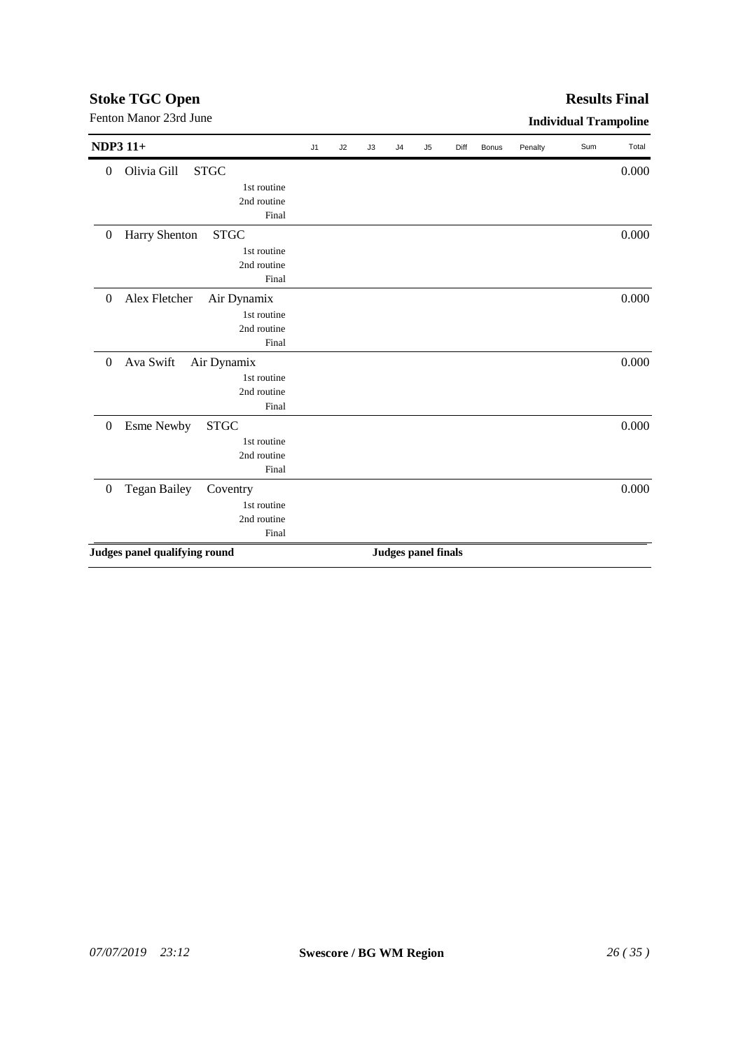| <b>NDP3 11+</b>                   |             | J1 | J2 | J3 | J4 | J5                         | Diff | <b>Bonus</b> | Penalty | Sum | Total |
|-----------------------------------|-------------|----|----|----|----|----------------------------|------|--------------|---------|-----|-------|
| Olivia Gill<br>$\theta$           | <b>STGC</b> |    |    |    |    |                            |      |              |         |     | 0.000 |
|                                   | 1st routine |    |    |    |    |                            |      |              |         |     |       |
|                                   | 2nd routine |    |    |    |    |                            |      |              |         |     |       |
|                                   | Final       |    |    |    |    |                            |      |              |         |     |       |
| Harry Shenton<br>$\boldsymbol{0}$ | <b>STGC</b> |    |    |    |    |                            |      |              |         |     | 0.000 |
|                                   | 1st routine |    |    |    |    |                            |      |              |         |     |       |
|                                   | 2nd routine |    |    |    |    |                            |      |              |         |     |       |
|                                   | Final       |    |    |    |    |                            |      |              |         |     |       |
| Alex Fletcher<br>$\theta$         | Air Dynamix |    |    |    |    |                            |      |              |         |     | 0.000 |
|                                   | 1st routine |    |    |    |    |                            |      |              |         |     |       |
|                                   | 2nd routine |    |    |    |    |                            |      |              |         |     |       |
|                                   | Final       |    |    |    |    |                            |      |              |         |     |       |
| Ava Swift<br>$\theta$             | Air Dynamix |    |    |    |    |                            |      |              |         |     | 0.000 |
|                                   | 1st routine |    |    |    |    |                            |      |              |         |     |       |
|                                   | 2nd routine |    |    |    |    |                            |      |              |         |     |       |
|                                   | Final       |    |    |    |    |                            |      |              |         |     |       |
| <b>Esme Newby</b><br>$\theta$     | <b>STGC</b> |    |    |    |    |                            |      |              |         |     | 0.000 |
|                                   | 1st routine |    |    |    |    |                            |      |              |         |     |       |
|                                   | 2nd routine |    |    |    |    |                            |      |              |         |     |       |
|                                   | Final       |    |    |    |    |                            |      |              |         |     |       |
| Tegan Bailey<br>$\boldsymbol{0}$  | Coventry    |    |    |    |    |                            |      |              |         |     | 0.000 |
|                                   | 1st routine |    |    |    |    |                            |      |              |         |     |       |
|                                   | 2nd routine |    |    |    |    |                            |      |              |         |     |       |
|                                   | Final       |    |    |    |    |                            |      |              |         |     |       |
| Judges panel qualifying round     |             |    |    |    |    | <b>Judges panel finals</b> |      |              |         |     |       |

# Fenton Manor 23rd June **Individual Trampoline**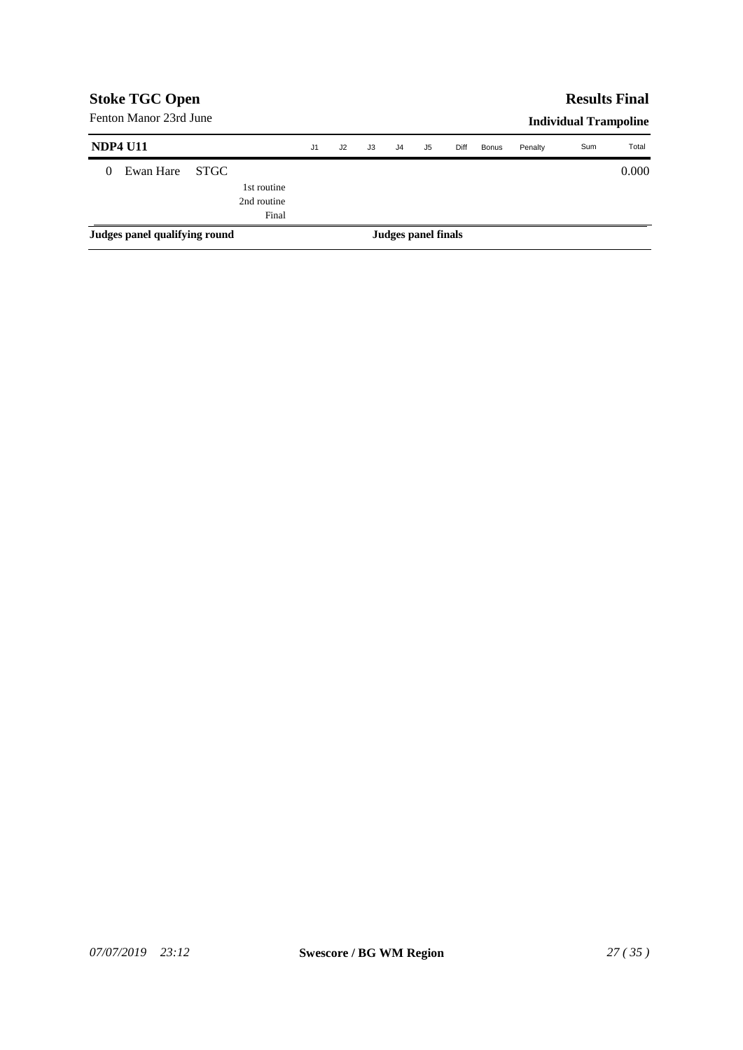| <b>Stoke TGC Open</b>         |                        |       |             |    |    |    |                     |    |      |              |         | <b>Results Final</b>         |       |
|-------------------------------|------------------------|-------|-------------|----|----|----|---------------------|----|------|--------------|---------|------------------------------|-------|
|                               | Fenton Manor 23rd June |       |             |    |    |    |                     |    |      |              |         | <b>Individual Trampoline</b> |       |
|                               | <b>NDP4 U11</b>        |       |             | J1 | J2 | JЗ | J <sub>4</sub>      | J5 | Diff | <b>Bonus</b> | Penalty | Sum                          | Total |
| $\Omega$                      | Ewan Hare              | STGC. |             |    |    |    |                     |    |      |              |         |                              | 0.000 |
|                               |                        |       | 1st routine |    |    |    |                     |    |      |              |         |                              |       |
|                               |                        |       | 2nd routine |    |    |    |                     |    |      |              |         |                              |       |
|                               |                        |       | Final       |    |    |    |                     |    |      |              |         |                              |       |
| Judges panel qualifying round |                        |       |             |    |    |    | Judges panel finals |    |      |              |         |                              |       |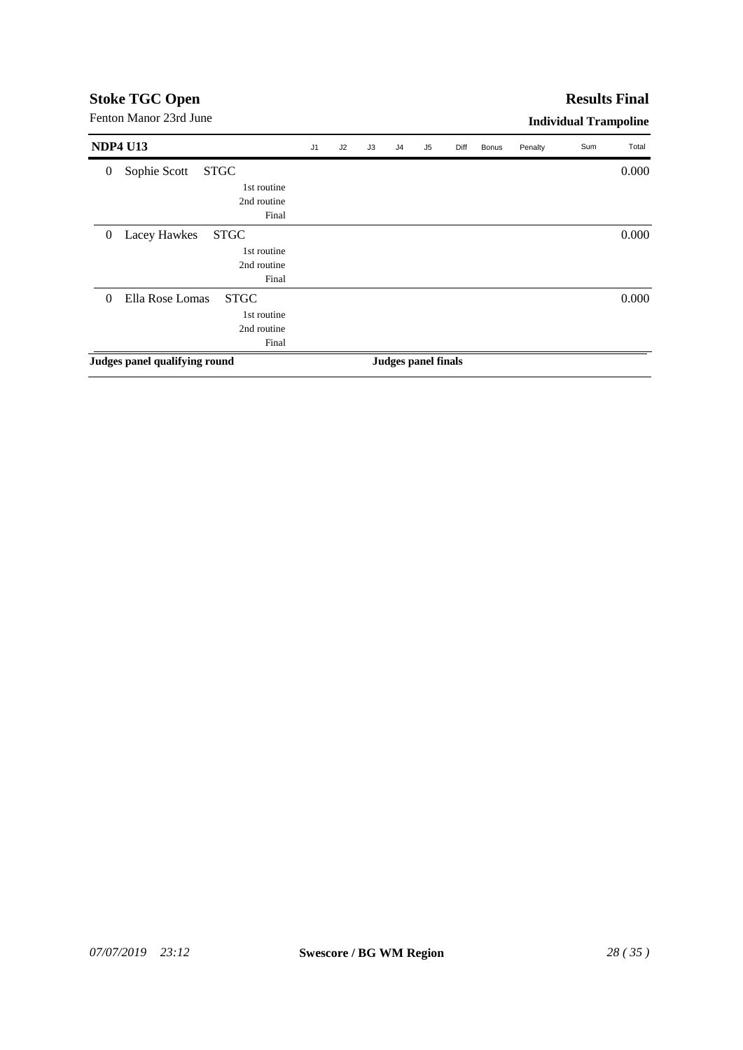| Fenton Manor 23rd June                                                                        |                |    |    |    |                     |      |       |         | <b>Individual Trampoline</b> |       |
|-----------------------------------------------------------------------------------------------|----------------|----|----|----|---------------------|------|-------|---------|------------------------------|-------|
| <b>NDP4 U13</b>                                                                               | J <sub>1</sub> | J2 | J3 | J4 | J <sub>5</sub>      | Diff | Bonus | Penalty | Sum                          | Total |
| <b>STGC</b><br>Sophie Scott<br>$\overline{0}$<br>1st routine<br>2nd routine                   |                |    |    |    |                     |      |       |         |                              | 0.000 |
| Final<br><b>STGC</b><br>Lacey Hawkes<br>$\overline{0}$<br>1st routine<br>2nd routine<br>Final |                |    |    |    |                     |      |       |         |                              | 0.000 |
| Ella Rose Lomas<br><b>STGC</b><br>$\Omega$<br>1st routine<br>2nd routine<br>Final             |                |    |    |    |                     |      |       |         |                              | 0.000 |
| Judges panel qualifying round                                                                 |                |    |    |    | Judges panel finals |      |       |         |                              |       |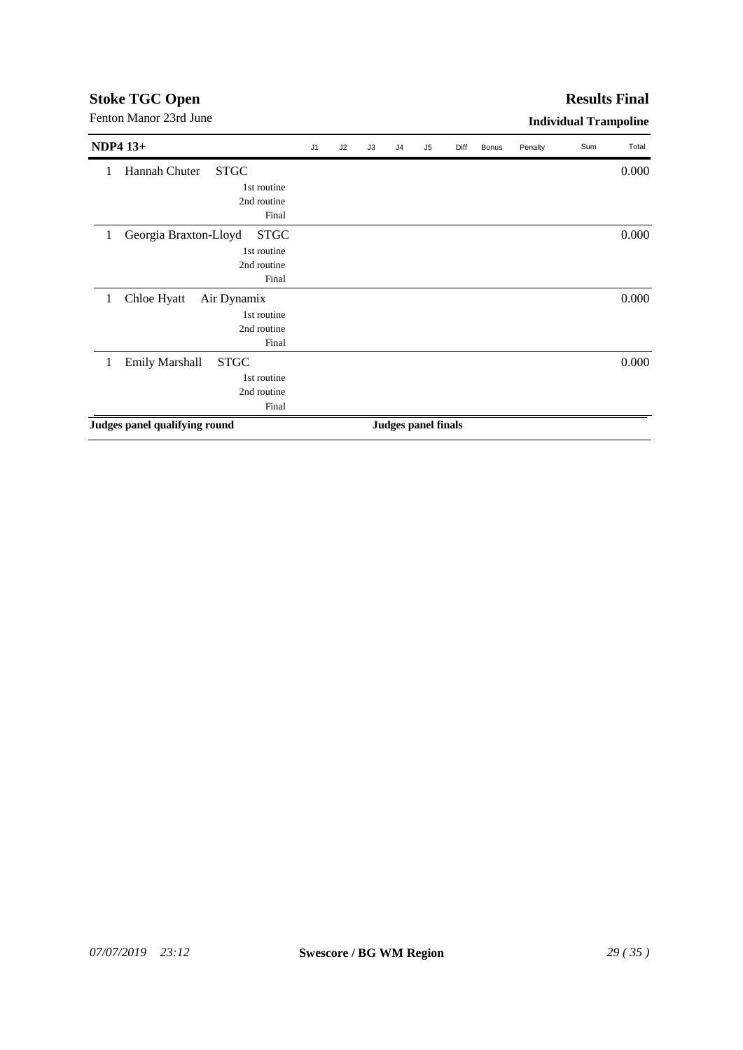#### **Results Final**

| <b>NDP4 13+</b>                           | J1 | J2 | J3 | J <sub>4</sub>             | J <sub>5</sub> | Diff | Bonus | Penalty | Sum | Total |
|-------------------------------------------|----|----|----|----------------------------|----------------|------|-------|---------|-----|-------|
| Hannah Chuter<br><b>STGC</b><br>1         |    |    |    |                            |                |      |       |         |     | 0.000 |
| 1st routine                               |    |    |    |                            |                |      |       |         |     |       |
| 2nd routine                               |    |    |    |                            |                |      |       |         |     |       |
| Final                                     |    |    |    |                            |                |      |       |         |     |       |
| Georgia Braxton-Lloyd<br><b>STGC</b><br>1 |    |    |    |                            |                |      |       |         |     | 0.000 |
| 1st routine                               |    |    |    |                            |                |      |       |         |     |       |
| 2nd routine                               |    |    |    |                            |                |      |       |         |     |       |
| Final                                     |    |    |    |                            |                |      |       |         |     |       |
| Chloe Hyatt<br>Air Dynamix<br>1           |    |    |    |                            |                |      |       |         |     | 0.000 |
| 1st routine                               |    |    |    |                            |                |      |       |         |     |       |
| 2nd routine                               |    |    |    |                            |                |      |       |         |     |       |
| Final                                     |    |    |    |                            |                |      |       |         |     |       |
| <b>Emily Marshall</b><br><b>STGC</b><br>1 |    |    |    |                            |                |      |       |         |     | 0.000 |
| 1st routine                               |    |    |    |                            |                |      |       |         |     |       |
| 2nd routine                               |    |    |    |                            |                |      |       |         |     |       |
| Final                                     |    |    |    |                            |                |      |       |         |     |       |
| Judges panel qualifying round             |    |    |    | <b>Judges panel finals</b> |                |      |       |         |     |       |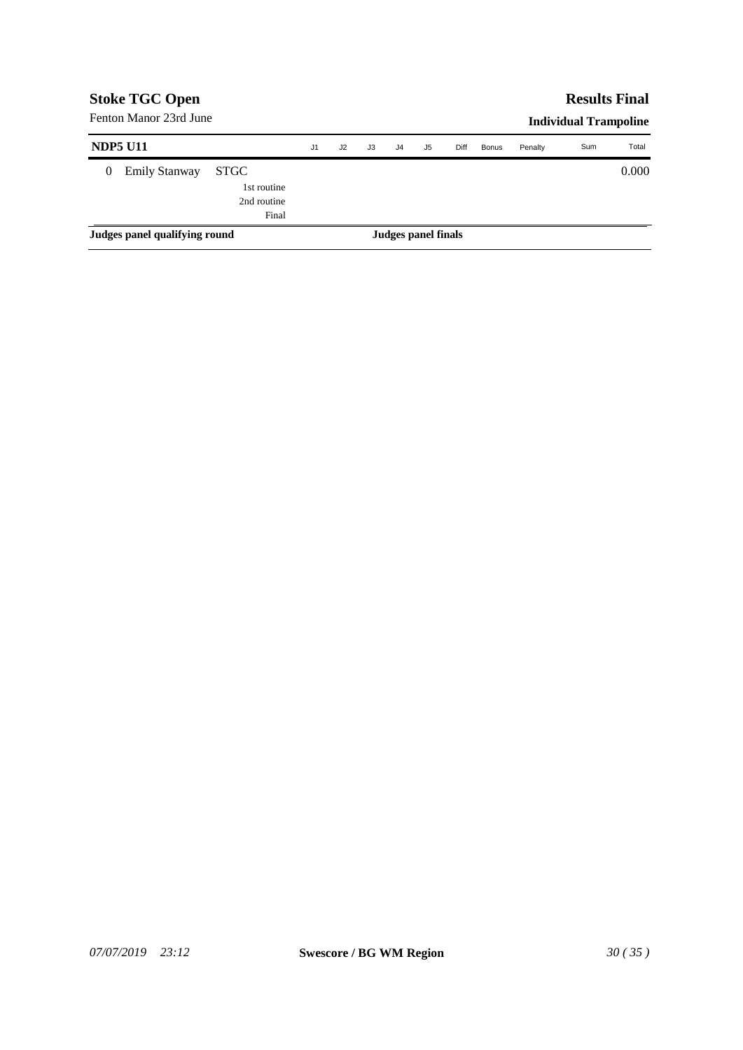| <b>Stoke TGC Open</b>         |                        |                                                    |                |    |    |                |                     |      |              |         | <b>Results Final</b>         |       |
|-------------------------------|------------------------|----------------------------------------------------|----------------|----|----|----------------|---------------------|------|--------------|---------|------------------------------|-------|
|                               | Fenton Manor 23rd June |                                                    |                |    |    |                |                     |      |              |         | <b>Individual Trampoline</b> |       |
|                               | <b>NDP5 U11</b>        |                                                    | J <sub>1</sub> | J2 | J3 | J <sub>4</sub> | J5                  | Diff | <b>Bonus</b> | Penalty | Sum                          | Total |
| $\theta$                      | <b>Emily Stanway</b>   | <b>STGC</b><br>1st routine<br>2nd routine<br>Final |                |    |    |                |                     |      |              |         |                              | 0.000 |
| Judges panel qualifying round |                        |                                                    |                |    |    |                | Judges panel finals |      |              |         |                              |       |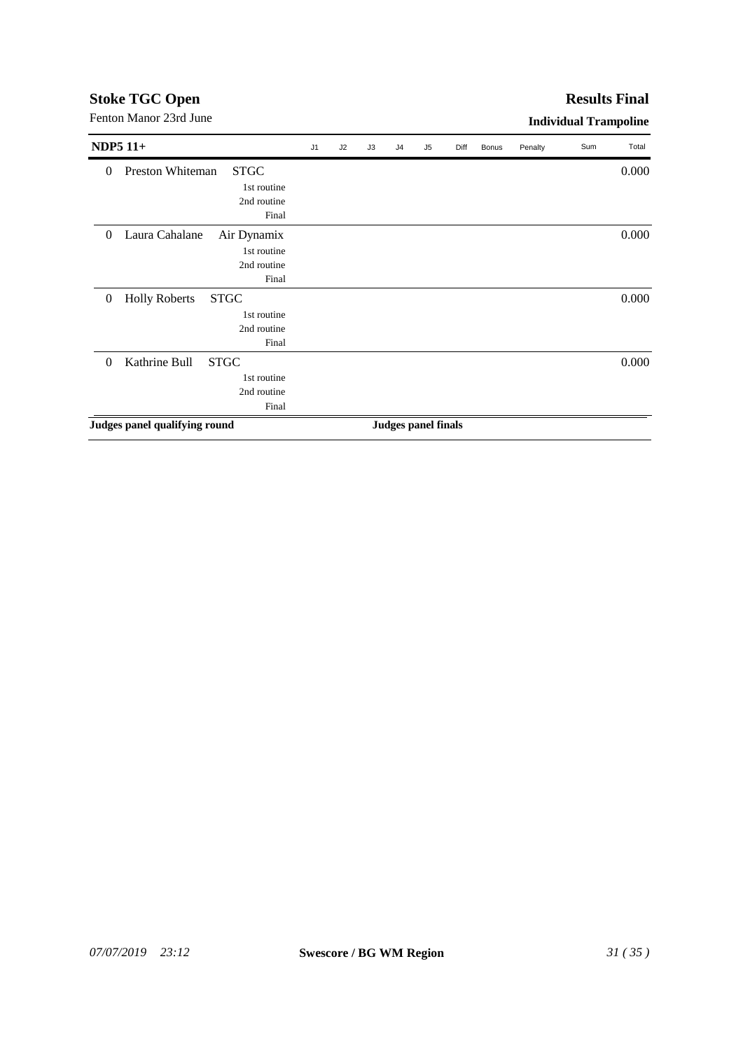#### **Results Final**

| <b>NDP5 11+</b>                                         | J1 | J2 | J3 | J <sub>4</sub> | J5                         | Diff | Bonus | Penalty | Sum | Total |
|---------------------------------------------------------|----|----|----|----------------|----------------------------|------|-------|---------|-----|-------|
| Preston Whiteman<br><b>STGC</b><br>$\theta$             |    |    |    |                |                            |      |       |         |     | 0.000 |
| 1st routine                                             |    |    |    |                |                            |      |       |         |     |       |
| 2nd routine                                             |    |    |    |                |                            |      |       |         |     |       |
| Final                                                   |    |    |    |                |                            |      |       |         |     |       |
| Laura Cahalane<br>Air Dynamix<br>$\overline{0}$         |    |    |    |                |                            |      |       |         |     | 0.000 |
| 1st routine                                             |    |    |    |                |                            |      |       |         |     |       |
| 2nd routine                                             |    |    |    |                |                            |      |       |         |     |       |
| Final                                                   |    |    |    |                |                            |      |       |         |     |       |
| <b>Holly Roberts</b><br><b>STGC</b><br>$\boldsymbol{0}$ |    |    |    |                |                            |      |       |         |     | 0.000 |
| 1st routine                                             |    |    |    |                |                            |      |       |         |     |       |
| 2nd routine                                             |    |    |    |                |                            |      |       |         |     |       |
| Final                                                   |    |    |    |                |                            |      |       |         |     |       |
| Kathrine Bull<br><b>STGC</b><br>$\Omega$                |    |    |    |                |                            |      |       |         |     | 0.000 |
| 1st routine                                             |    |    |    |                |                            |      |       |         |     |       |
| 2nd routine                                             |    |    |    |                |                            |      |       |         |     |       |
| Final                                                   |    |    |    |                |                            |      |       |         |     |       |
| Judges panel qualifying round                           |    |    |    |                | <b>Judges panel finals</b> |      |       |         |     |       |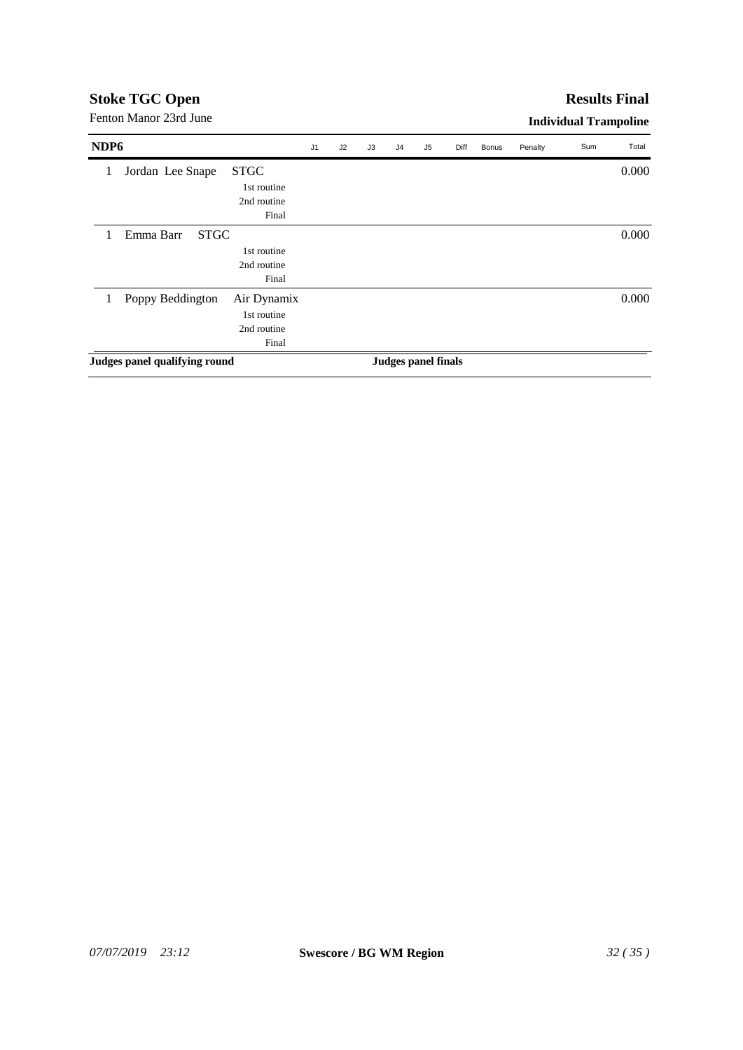#### **Results Final**

| NDP <sub>6</sub> |                               |             | J <sub>1</sub> | J2 | J3 | J <sub>4</sub> | J <sub>5</sub>             | Diff | <b>Bonus</b> | Penalty | Sum | Total |
|------------------|-------------------------------|-------------|----------------|----|----|----------------|----------------------------|------|--------------|---------|-----|-------|
| 1                | Jordan Lee Snape              | <b>STGC</b> |                |    |    |                |                            |      |              |         |     | 0.000 |
|                  |                               | 1st routine |                |    |    |                |                            |      |              |         |     |       |
|                  |                               | 2nd routine |                |    |    |                |                            |      |              |         |     |       |
|                  |                               | Final       |                |    |    |                |                            |      |              |         |     |       |
|                  | <b>STGC</b><br>Emma Barr      |             |                |    |    |                |                            |      |              |         |     | 0.000 |
|                  |                               | 1st routine |                |    |    |                |                            |      |              |         |     |       |
|                  |                               | 2nd routine |                |    |    |                |                            |      |              |         |     |       |
|                  |                               | Final       |                |    |    |                |                            |      |              |         |     |       |
| 1                | Poppy Beddington              | Air Dynamix |                |    |    |                |                            |      |              |         |     | 0.000 |
|                  |                               | 1st routine |                |    |    |                |                            |      |              |         |     |       |
|                  |                               | 2nd routine |                |    |    |                |                            |      |              |         |     |       |
|                  |                               | Final       |                |    |    |                |                            |      |              |         |     |       |
|                  | Judges panel qualifying round |             |                |    |    |                | <b>Judges panel finals</b> |      |              |         |     |       |
|                  |                               |             |                |    |    |                |                            |      |              |         |     |       |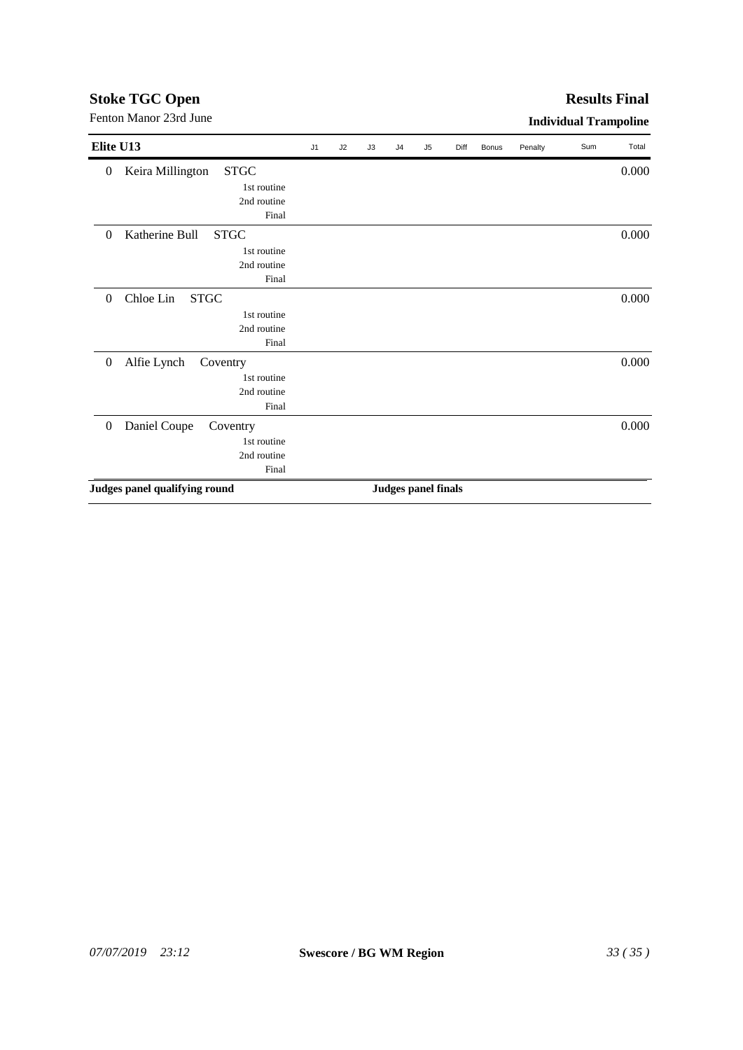## *07/07/2019 23:12* **Swescore / BG WM Region** *33 ( 35 )*

| Elite U13                                           | $\sf J1$ | J2 | J3 | J <sub>4</sub> | J <sub>5</sub>             | Diff | Bonus | Penalty | Sum | Total |
|-----------------------------------------------------|----------|----|----|----------------|----------------------------|------|-------|---------|-----|-------|
| <b>STGC</b><br>Keira Millington<br>$\boldsymbol{0}$ |          |    |    |                |                            |      |       |         |     | 0.000 |
| 1st routine                                         |          |    |    |                |                            |      |       |         |     |       |
| 2nd routine                                         |          |    |    |                |                            |      |       |         |     |       |
| Final                                               |          |    |    |                |                            |      |       |         |     |       |
| Katherine Bull<br><b>STGC</b><br>$\theta$           |          |    |    |                |                            |      |       |         |     | 0.000 |
| 1st routine                                         |          |    |    |                |                            |      |       |         |     |       |
| 2nd routine                                         |          |    |    |                |                            |      |       |         |     |       |
| Final                                               |          |    |    |                |                            |      |       |         |     |       |
| Chloe Lin<br><b>STGC</b><br>$\overline{0}$          |          |    |    |                |                            |      |       |         |     | 0.000 |
| 1st routine                                         |          |    |    |                |                            |      |       |         |     |       |
| 2nd routine                                         |          |    |    |                |                            |      |       |         |     |       |
| Final                                               |          |    |    |                |                            |      |       |         |     |       |
| Alfie Lynch<br>$\boldsymbol{0}$<br>Coventry         |          |    |    |                |                            |      |       |         |     | 0.000 |
| 1st routine                                         |          |    |    |                |                            |      |       |         |     |       |
| 2nd routine                                         |          |    |    |                |                            |      |       |         |     |       |
| Final                                               |          |    |    |                |                            |      |       |         |     |       |
| Daniel Coupe<br>$\boldsymbol{0}$<br>Coventry        |          |    |    |                |                            |      |       |         |     | 0.000 |
| 1st routine                                         |          |    |    |                |                            |      |       |         |     |       |
| 2nd routine                                         |          |    |    |                |                            |      |       |         |     |       |
| Final                                               |          |    |    |                |                            |      |       |         |     |       |
| Judges panel qualifying round                       |          |    |    |                | <b>Judges panel finals</b> |      |       |         |     |       |

Fenton Manor 23rd June **Individual Trampoline** 

## **Stoke TGC Open**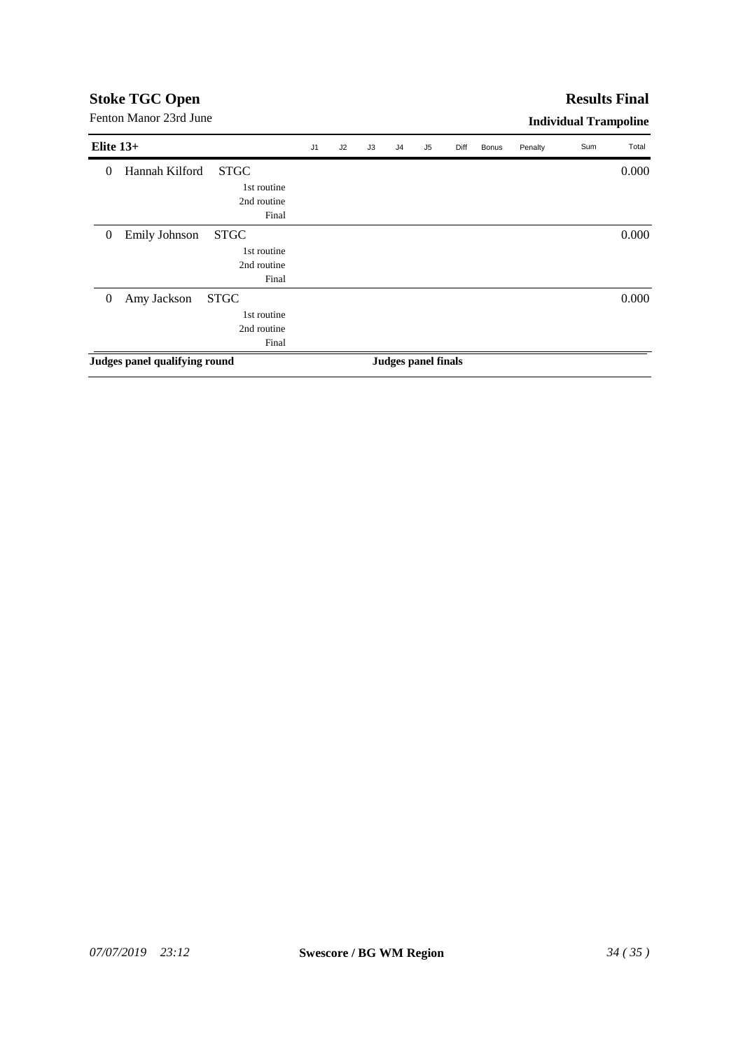## **Results Final**

| Elite $13+$      |                               |             | J <sub>1</sub> | J2 | J3 | J <sub>4</sub> | J5                  | Diff | Bonus | Penalty | Sum | Total |
|------------------|-------------------------------|-------------|----------------|----|----|----------------|---------------------|------|-------|---------|-----|-------|
| $\theta$         | Hannah Kilford                | <b>STGC</b> |                |    |    |                |                     |      |       |         |     | 0.000 |
|                  |                               | 1st routine |                |    |    |                |                     |      |       |         |     |       |
|                  |                               | 2nd routine |                |    |    |                |                     |      |       |         |     |       |
|                  |                               | Final       |                |    |    |                |                     |      |       |         |     |       |
| $\boldsymbol{0}$ | Emily Johnson                 | <b>STGC</b> |                |    |    |                |                     |      |       |         |     | 0.000 |
|                  |                               | 1st routine |                |    |    |                |                     |      |       |         |     |       |
|                  |                               | 2nd routine |                |    |    |                |                     |      |       |         |     |       |
|                  |                               | Final       |                |    |    |                |                     |      |       |         |     |       |
| $\overline{0}$   | Amy Jackson                   | <b>STGC</b> |                |    |    |                |                     |      |       |         |     | 0.000 |
|                  |                               | 1st routine |                |    |    |                |                     |      |       |         |     |       |
|                  |                               | 2nd routine |                |    |    |                |                     |      |       |         |     |       |
|                  |                               | Final       |                |    |    |                |                     |      |       |         |     |       |
|                  | Judges panel qualifying round |             |                |    |    |                | Judges panel finals |      |       |         |     |       |
|                  |                               |             |                |    |    |                |                     |      |       |         |     |       |